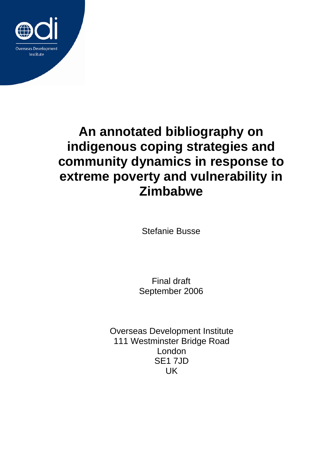

# **An annotated bibliography on indigenous coping strategies and community dynamics in response to extreme poverty and vulnerability in Zimbabwe**

Stefanie Busse

Final draft September 2006

Overseas Development Institute 111 Westminster Bridge Road London SE1 7JD UK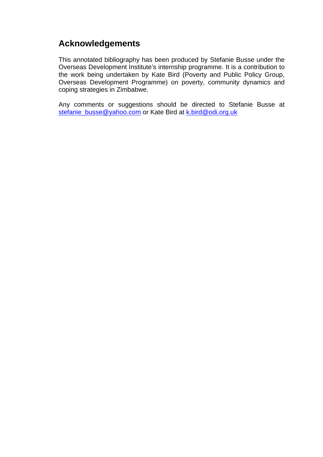# **Acknowledgements**

This annotated bibliography has been produced by Stefanie Busse under the Overseas Development Institute's internship programme. It is a contribution to the work being undertaken by Kate Bird (Poverty and Public Policy Group, Overseas Development Programme) on poverty, community dynamics and coping strategies in Zimbabwe.

Any comments or suggestions should be directed to Stefanie Busse at stefanie\_busse@yahoo.com or Kate Bird at k.bird@odi.org.uk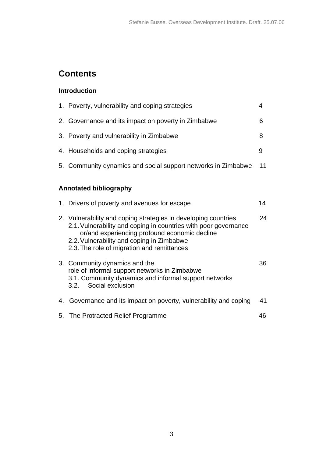# **Contents**

# **Introduction**

|                               | 1. Poverty, vulnerability and coping strategies                                                                                                                                                                                                                               | 4  |
|-------------------------------|-------------------------------------------------------------------------------------------------------------------------------------------------------------------------------------------------------------------------------------------------------------------------------|----|
|                               | 2. Governance and its impact on poverty in Zimbabwe                                                                                                                                                                                                                           | 6  |
|                               | 3. Poverty and vulnerability in Zimbabwe                                                                                                                                                                                                                                      | 8  |
|                               | 4. Households and coping strategies                                                                                                                                                                                                                                           | 9  |
|                               | 5. Community dynamics and social support networks in Zimbabwe                                                                                                                                                                                                                 | 11 |
| <b>Annotated bibliography</b> |                                                                                                                                                                                                                                                                               |    |
|                               | 1. Drivers of poverty and avenues for escape                                                                                                                                                                                                                                  | 14 |
|                               | 2. Vulnerability and coping strategies in developing countries<br>2.1. Vulnerability and coping in countries with poor governance<br>or/and experiencing profound economic decline<br>2.2. Vulnerability and coping in Zimbabwe<br>2.3. The role of migration and remittances | 24 |
|                               | 3. Community dynamics and the<br>role of informal support networks in Zimbabwe<br>3.1. Community dynamics and informal support networks<br>Social exclusion<br>3.2.                                                                                                           | 36 |
| 4.                            | Governance and its impact on poverty, vulnerability and coping                                                                                                                                                                                                                | 41 |
|                               | 5. The Protracted Relief Programme                                                                                                                                                                                                                                            | 46 |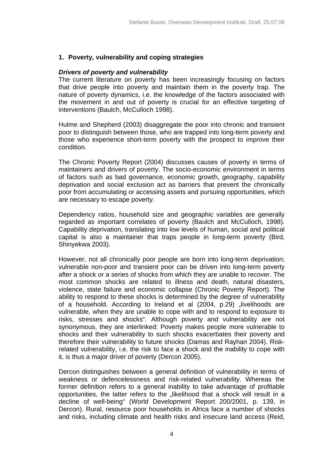## **1. Poverty, vulnerability and coping strategies**

#### *Drivers of poverty and vulnerability*

The current literature on poverty has been increasingly focusing on factors that drive people into poverty and maintain them in the poverty trap. The nature of poverty dynamics, i.e. the knowledge of the factors associated with the movement in and out of poverty is crucial for an effective targeting of interventions (Baulch, McCulloch 1998).

Hulme and Shepherd (2003) disaggregate the poor into chronic and transient poor to distinguish between those, who are trapped into long-term poverty and those who experience short-term poverty with the prospect to improve their condition.

The Chronic Poverty Report (2004) discusses causes of poverty in terms of maintainers and drivers of poverty. The socio-economic environment in terms of factors such as bad governance, economic growth, geography, capability deprivation and social exclusion act as barriers that prevent the chronically poor from accumulating or accessing assets and pursuing opportunities, which are necessary to escape poverty.

Dependency ratios, household size and geographic variables are generally regarded as important correlates of poverty (Baulch and McCulloch, 1998). Capability deprivation, translating into low levels of human, social and political capital is also a maintainer that traps people in long-term poverty (Bird, Shinyekwa 2003).

However, not all chronically poor people are born into long-term deprivation; vulnerable non-poor and transient poor can be driven into long-term poverty after a shock or a series of shocks from which they are unable to recover. The most common shocks are related to illness and death, natural disasters, violence, state failure and economic collapse (Chronic Poverty Report). The ability to respond to these shocks is determined by the degree of vulnerability of a household. According to Ireland et al (2004, p.29) "livelihoods are vulnerable, when they are unable to cope with and to respond to exposure to risks, stresses and shocks". Although poverty and vulnerability are not synonymous, they are interlinked: Poverty makes people more vulnerable to shocks and their vulnerability to such shocks exacerbates their poverty and therefore their vulnerability to future shocks (Damas and Rayhan 2004). Riskrelated vulnerability, i.e. the risk to face a shock and the inability to cope with it, is thus a major driver of poverty (Dercon 2005).

Dercon distinguishes between a general definition of vulnerability in terms of weakness or defencelessness and risk-related vulnerability. Whereas the former definition refers to a general inability to take advantage of profitable opportunities, the latter refers to the "likelihood that a shock will result in a decline of well-being" (World Development Report 200/2001, p. 139, in Dercon). Rural, resource poor households in Africa face a number of shocks and risks, including climate and health risks and insecure land access (Reid,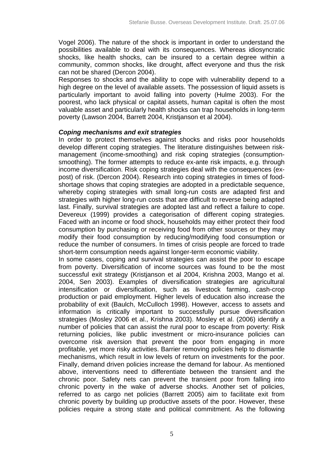Vogel 2006). The nature of the shock is important in order to understand the possibilities available to deal with its consequences. Whereas idiosyncratic shocks, like health shocks, can be insured to a certain degree within a community, common shocks, like drought, affect everyone and thus the risk can not be shared (Dercon 2004).

Responses to shocks and the ability to cope with vulnerability depend to a high degree on the level of available assets. The possession of liquid assets is particularly important to avoid falling into poverty (Hulme 2003). For the poorest, who lack physical or capital assets, human capital is often the most valuable asset and particularly health shocks can trap households in long-term poverty (Lawson 2004, Barrett 2004, Kristjanson et al 2004).

#### *Coping mechanisms and exit strategies*

In order to protect themselves against shocks and risks poor households develop different coping strategies. The literature distinguishes between riskmanagement (income-smoothing) and risk coping strategies (consumptionsmoothing). The former attempts to reduce ex-ante risk impacts, e.g. through income diversification. Risk coping strategies deal with the consequences (expost) of risk. (Dercon 2004). Research into coping strategies in times of foodshortage shows that coping strategies are adopted in a predictable sequence, whereby coping strategies with small long-run costs are adapted first and strategies with higher long-run costs that are difficult to reverse being adapted last. Finally, survival strategies are adopted last and reflect a failure to cope. Devereux (1999) provides a categorisation of different coping strategies. Faced with an income or food shock, households may either protect their food consumption by purchasing or receiving food from other sources or they may modify their food consumption by reducing/modifying food consumption or reduce the number of consumers. In times of crisis people are forced to trade short-term consumption needs against longer-term economic viability.

In some cases, coping and survival strategies can assist the poor to escape from poverty. Diversification of income sources was found to be the most successful exit strategy (Kristjanson et al 2004, Krishna 2003, Mango et al. 2004, Sen 2003). Examples of diversification strategies are agricultural intensification or diversification, such as livestock farming, cash-crop production or paid employment. Higher levels of education also increase the probability of exit (Baulch, McCulloch 1998). However, access to assets and information is critically important to successfully pursue diversification strategies (Mosley 2006 et al., Krishna 2003). Mosley et al. (2006) identify a number of policies that can assist the rural poor to escape from poverty: Risk returning policies, like public investment or micro-insurance policies can overcome risk aversion that prevent the poor from engaging in more profitable, yet more risky activities. Barrier removing policies help to dismantle mechanisms, which result in low levels of return on investments for the poor. Finally, demand driven policies increase the demand for labour. As mentioned above, interventions need to differentiate between the transient and the chronic poor. Safety nets can prevent the transient poor from falling into chronic poverty in the wake of adverse shocks. Another set of policies, referred to as cargo net policies (Barrett 2005) aim to facilitate exit from chronic poverty by building up productive assets of the poor. However, these policies require a strong state and political commitment. As the following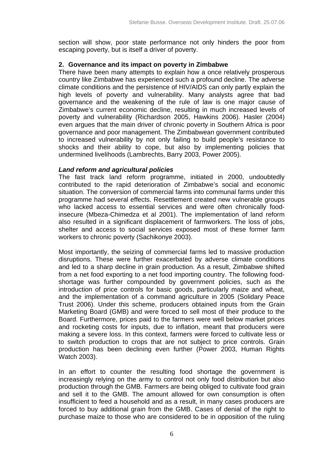section will show, poor state performance not only hinders the poor from escaping poverty, but is itself a driver of poverty.

# **2. Governance and its impact on poverty in Zimbabwe**

There have been many attempts to explain how a once relatively prosperous country like Zimbabwe has experienced such a profound decline. The adverse climate conditions and the persistence of HIV/AIDS can only partly explain the high levels of poverty and vulnerability. Many analysts agree that bad governance and the weakening of the rule of law is one major cause of Zimbabwe's current economic decline, resulting in much increased levels of poverty and vulnerability (Richardson 2005, Hawkins 2006). Hasler (2004) even argues that the main driver of chronic poverty in Southern Africa is poor governance and poor management. The Zimbabwean government contributed to increased vulnerability by not only failing to build people's resistance to shocks and their ability to cope, but also by implementing policies that undermined livelihoods (Lambrechts, Barry 2003, Power 2005).

# *Land reform and agricultural policies*

The fast track land reform programme, initiated in 2000, undoubtedly contributed to the rapid deterioration of Zimbabwe's social and economic situation. The conversion of commercial farms into communal farms under this programme had several effects. Resettlement created new vulnerable groups who lacked access to essential services and were often chronically foodinsecure (Mbeza-Chimedza et al 2001). The implementation of land reform also resulted in a significant displacement of farmworkers. The loss of jobs, shelter and access to social services exposed most of these former farm workers to chronic poverty (Sachikonye 2003).

Most importantly, the seizing of commercial farms led to massive production disruptions. These were further exacerbated by adverse climate conditions and led to a sharp decline in grain production. As a result, Zimbabwe shifted from a net food exporting to a net food importing country. The following foodshortage was further compounded by government policies, such as the introduction of price controls for basic goods, particularly maize and wheat, and the implementation of a command agriculture in 2005 (Solidary Peace Trust 2006). Under this scheme, producers obtained inputs from the Grain Marketing Board (GMB) and were forced to sell most of their produce to the Board. Furthermore, prices paid to the farmers were well below market prices and rocketing costs for inputs, due to inflation, meant that producers were making a severe loss. In this context, farmers were forced to cultivate less or to switch production to crops that are not subject to price controls. Grain production has been declining even further (Power 2003, Human Rights Watch 2003).

In an effort to counter the resulting food shortage the government is increasingly relying on the army to control not only food distribution but also production through the GMB. Farmers are being obliged to cultivate food grain and sell it to the GMB. The amount allowed for own consumption is often insufficient to feed a household and as a result, in many cases producers are forced to buy additional grain from the GMB. Cases of denial of the right to purchase maize to those who are considered to be in opposition of the ruling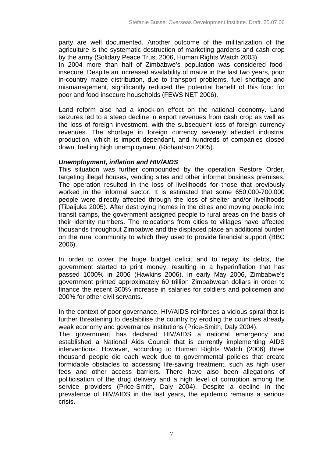party are well documented. Another outcome of the militarization of the agriculture is the systematic destruction of marketing gardens and cash crop by the army (Solidary Peace Trust 2006, Human Rights Watch 2003).

In 2004 more than half of Zimbabwe's population was considered foodinsecure. Despite an increased availability of maize in the last two years, poor in-country maize distribution, due to transport problems, fuel shortage and mismanagement, significantly reduced the potential benefit of this food for poor and food insecure households (FEWS NET 2006).

Land reform also had a knock-on effect on the national economy. Land seizures led to a steep decline in export revenues from cash crop as well as the loss of foreign investment, with the subsequent loss of foreign currency revenues. The shortage in foreign currency severely affected industrial production, which is import dependant, and hundreds of companies closed down, fuelling high unemployment (Richardson 2005).

### *Unemployment, inflation and HIV/AIDS*

This situation was further compounded by the operation Restore Order, targeting illegal houses, vending sites and other informal business premises. The operation resulted in the loss of livelihoods for those that previously worked in the informal sector. It is estimated that some 650,000-700,000 people were directly affected through the loss of shelter and/or livelihoods (Tibaijuka 2005). After destroying homes in the cities and moving people into transit camps, the government assigned people to rural areas on the basis of their identity numbers. The relocations from cities to villages have affected thousands throughout Zimbabwe and the displaced place an additional burden on the rural community to which they used to provide financial support (BBC 2006).

In order to cover the huge budget deficit and to repay its debts, the government started to print money, resulting in a hyperinflation that has passed 1000% in 2006 (Hawkins 2006). In early May 2006, Zimbabwe's government printed approximately 60 trillion Zimbabwean dollars in order to finance the recent 300% increase in salaries for soldiers and policemen and 200% for other civil servants.

In the context of poor governance, HIV/AIDS reinforces a vicious spiral that is further threatening to destabilise the country by eroding the countries already weak economy and governance institutions (Price-Smith, Daly 2004).

The government has declared HIV/AIDS a national emergency and established a National Aids Council that is currently implementing AIDS interventions. However, according to Human Rights Watch (2006) three thousand people die each week due to governmental policies that create formidable obstacles to accessing life-saving treatment, such as high user fees and other access barriers. There have also been allegations of politicisation of the drug delivery and a high level of corruption among the service providers (Price-Smith, Daly 2004). Despite a decline in the prevalence of HIV/AIDS in the last years, the epidemic remains a serious crisis.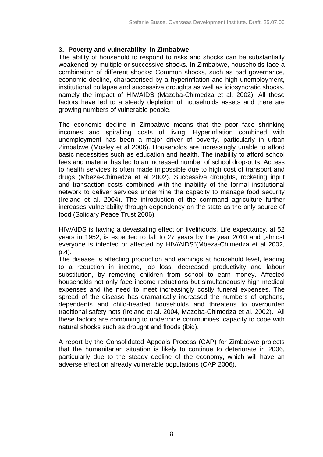# **3. Poverty and vulnerability in Zimbabwe**

The ability of household to respond to risks and shocks can be substantially weakened by multiple or successive shocks. In Zimbabwe, households face a combination of different shocks: Common shocks, such as bad governance, economic decline, characterised by a hyperinflation and high unemployment, institutional collapse and successive droughts as well as idiosyncratic shocks, namely the impact of HIV/AIDS (Mazeba-Chimedza et al. 2002). All these factors have led to a steady depletion of households assets and there are growing numbers of vulnerable people.

The economic decline in Zimbabwe means that the poor face shrinking incomes and spiralling costs of living. Hyperinflation combined with unemployment has been a major driver of poverty, particularly in urban Zimbabwe (Mosley et al 2006). Households are increasingly unable to afford basic necessities such as education and health. The inability to afford school fees and material has led to an increased number of school drop-outs. Access to health services is often made impossible due to high cost of transport and drugs (Mbeza-Chimedza et al 2002). Successive droughts, rocketing input and transaction costs combined with the inability of the formal institutional network to deliver services undermine the capacity to manage food security (Ireland et al. 2004). The introduction of the command agriculture further increases vulnerability through dependency on the state as the only source of food (Solidary Peace Trust 2006).

HIV/AIDS is having a devastating effect on livelihoods. Life expectancy, at 52 years in 1952, is expected to fall to 27 years by the year 2010 and "almost everyone is infected or affected by HIV/AIDS"(Mbeza-Chimedza et al 2002, p.4).

The disease is affecting production and earnings at household level, leading to a reduction in income, job loss, decreased productivity and labour substitution, by removing children from school to earn money. Affected households not only face income reductions but simultaneously high medical expenses and the need to meet increasingly costly funeral expenses. The spread of the disease has dramatically increased the numbers of orphans, dependents and child-headed households and threatens to overburden traditional safety nets (Ireland et al. 2004, Mazeba-Chimedza et al. 2002). All these factors are combining to undermine communities' capacity to cope with natural shocks such as drought and floods (ibid).

A report by the Consolidated Appeals Process (CAP) for Zimbabwe projects that the humanitarian situation is likely to continue to deteriorate in 2006, particularly due to the steady decline of the economy, which will have an adverse effect on already vulnerable populations (CAP 2006).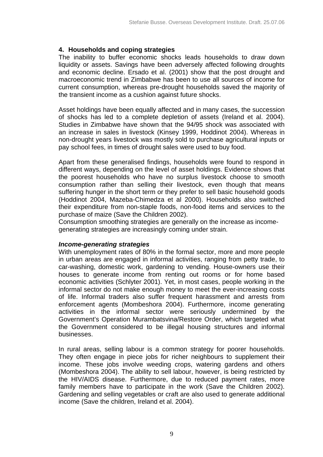# **4. Households and coping strategies**

The inability to buffer economic shocks leads households to draw down liquidity or assets. Savings have been adversely affected following droughts and economic decline. Ersado et al. (2001) show that the post drought and macroeconomic trend in Zimbabwe has been to use all sources of income for current consumption, whereas pre-drought households saved the majority of the transient income as a cushion against future shocks.

Asset holdings have been equally affected and in many cases, the succession of shocks has led to a complete depletion of assets (Ireland et al. 2004). Studies in Zimbabwe have shown that the 94/95 shock was associated with an increase in sales in livestock (Kinsey 1999, Hoddinot 2004). Whereas in non-drought years livestock was mostly sold to purchase agricultural inputs or pay school fees, in times of drought sales were used to buy food.

Apart from these generalised findings, households were found to respond in different ways, depending on the level of asset holdings. Evidence shows that the poorest households who have no surplus livestock choose to smooth consumption rather than selling their livestock, even though that means suffering hunger in the short term or they prefer to sell basic household goods (Hoddinot 2004, Mazeba-Chimedza et al 2000). Households also switched their expenditure from non-staple foods, non-food items and services to the purchase of maize (Save the Children 2002).

Consumption smoothing strategies are generally on the increase as incomegenerating strategies are increasingly coming under strain.

# *Income-generating strategies*

With unemployment rates of 80% in the formal sector, more and more people in urban areas are engaged in informal activities, ranging from petty trade, to car-washing, domestic work, gardening to vending. House-owners use their houses to generate income from renting out rooms or for home based economic activities (Schlyter 2001). Yet, in most cases, people working in the informal sector do not make enough money to meet the ever-increasing costs of life. Informal traders also suffer frequent harassment and arrests from enforcement agents (Mombeshora 2004). Furthermore, income generating activities in the informal sector were seriously undermined by the Government's Operation Murambatsvina/Restore Order, which targeted what the Government considered to be illegal housing structures and informal businesses.

In rural areas, selling labour is a common strategy for poorer households. They often engage in piece jobs for richer neighbours to supplement their income. These jobs involve weeding crops, watering gardens and others (Mombeshora 2004). The ability to sell labour, however, is being restricted by the HIV/AIDS disease. Furthermore, due to reduced payment rates, more family members have to participate in the work (Save the Children 2002). Gardening and selling vegetables or craft are also used to generate additional income (Save the children, Ireland et al. 2004).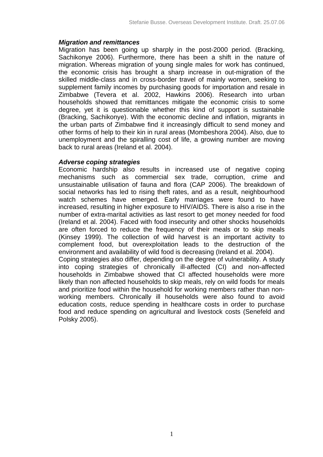### *Migration and remittances*

Migration has been going up sharply in the post-2000 period. (Bracking, Sachikonye 2006). Furthermore, there has been a shift in the nature of migration. Whereas migration of young single males for work has continued, the economic crisis has brought a sharp increase in out-migration of the skilled middle-class and in cross-border travel of mainly women, seeking to supplement family incomes by purchasing goods for importation and resale in Zimbabwe (Tevera et al. 2002, Hawkins 2006). Research into urban households showed that remittances mitigate the economic crisis to some degree, yet it is questionable whether this kind of support is sustainable (Bracking, Sachikonye). With the economic decline and inflation, migrants in the urban parts of Zimbabwe find it increasingly difficult to send money and other forms of help to their kin in rural areas (Mombeshora 2004). Also, due to unemployment and the spiralling cost of life, a growing number are moving back to rural areas (Ireland et al. 2004).

#### *Adverse coping strategies*

Economic hardship also results in increased use of negative coping mechanisms such as commercial sex trade, corruption, crime and unsustainable utilisation of fauna and flora (CAP 2006). The breakdown of social networks has led to rising theft rates, and as a result, neighbourhood watch schemes have emerged. Early marriages were found to have increased, resulting in higher exposure to HIV/AIDS. There is also a rise in the number of extra-marital activities as last resort to get money needed for food (Ireland et al. 2004). Faced with food insecurity and other shocks households are often forced to reduce the frequency of their meals or to skip meals (Kinsey 1999). The collection of wild harvest is an important activity to complement food, but overexploitation leads to the destruction of the environment and availability of wild food is decreasing (Ireland et al. 2004).

Coping strategies also differ, depending on the degree of vulnerability. A study into coping strategies of chronically ill-affected (CI) and non-affected households in Zimbabwe showed that CI affected households were more likely than non affected households to skip meals, rely on wild foods for meals and prioritize food within the household for working members rather than nonworking members. Chronically ill households were also found to avoid education costs, reduce spending in healthcare costs in order to purchase food and reduce spending on agricultural and livestock costs (Senefeld and Polsky 2005).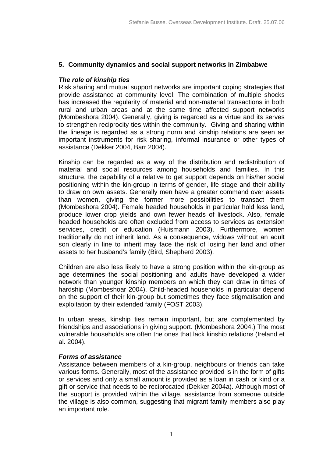#### **5. Community dynamics and social support networks in Zimbabwe**

## *The role of kinship ties*

Risk sharing and mutual support networks are important coping strategies that provide assistance at community level. The combination of multiple shocks has increased the regularity of material and non-material transactions in both rural and urban areas and at the same time affected support networks (Mombeshora 2004). Generally, giving is regarded as a virtue and its serves to strengthen reciprocity ties within the community. Giving and sharing within the lineage is regarded as a strong norm and kinship relations are seen as important instruments for risk sharing, informal insurance or other types of assistance (Dekker 2004, Barr 2004).

Kinship can be regarded as a way of the distribution and redistribution of material and social resources among households and families. In this structure, the capability of a relative to get support depends on his/her social positioning within the kin-group in terms of gender, life stage and their ability to draw on own assets. Generally men have a greater command over assets than women, giving the former more possibilities to transact them (Mombeshora 2004). Female headed households in particular hold less land, produce lower crop yields and own fewer heads of livestock. Also, female headed households are often excluded from access to services as extension services, credit or education (Huismann 2003). Furthermore, women traditionally do not inherit land. As a consequence, widows without an adult son clearly in line to inherit may face the risk of losing her land and other assets to her husband's family (Bird, Shepherd 2003).

Children are also less likely to have a strong position within the kin-group as age determines the social positioning and adults have developed a wider network than younger kinship members on which they can draw in times of hardship (Mombeshoar 2004). Child-headed households in particular depend on the support of their kin-group but sometimes they face stigmatisation and exploitation by their extended family (FOST 2003).

In urban areas, kinship ties remain important, but are complemented by friendships and associations in giving support. (Mombeshora 2004.) The most vulnerable households are often the ones that lack kinship relations (Ireland et al. 2004).

#### *Forms of assistance*

Assistance between members of a kin-group, neighbours or friends can take various forms. Generally, most of the assistance provided is in the form of gifts or services and only a small amount is provided as a loan in cash or kind or a gift or service that needs to be reciprocated (Dekker 2004a). Although most of the support is provided within the village, assistance from someone outside the village is also common, suggesting that migrant family members also play an important role.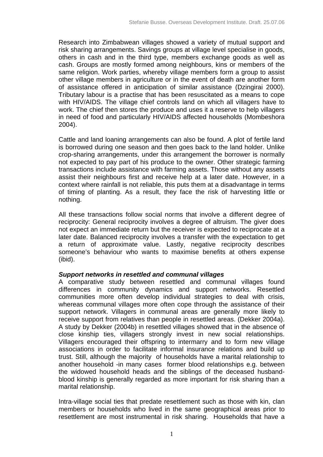Research into Zimbabwean villages showed a variety of mutual support and risk sharing arrangements. Savings groups at village level specialise in goods, others in cash and in the third type, members exchange goods as well as cash. Groups are mostly formed among neighbours, kins or members of the same religion. Work parties, whereby village members form a group to assist other village members in agriculture or in the event of death are another form of assistance offered in anticipation of similar assistance (Dzingirai 2000). Tributary labour is a practise that has been resuscitated as a means to cope with HIV/AIDS. The village chief controls land on which all villagers have to work. The chief then stores the produce and uses it a reserve to help villagers in need of food and particularly HIV/AIDS affected households (Mombeshora 2004).

Cattle and land loaning arrangements can also be found. A plot of fertile land is borrowed during one season and then goes back to the land holder. Unlike crop-sharing arrangements, under this arrangement the borrower is normally not expected to pay part of his produce to the owner. Other strategic farming transactions include assistance with farming assets. Those without any assets assist their neighbours first and receive help at a later date. However, in a context where rainfall is not reliable, this puts them at a disadvantage in terms of timing of planting. As a result, they face the risk of harvesting little or nothing.

All these transactions follow social norms that involve a different degree of reciprocity: General reciprocity involves a degree of altruism. The giver does not expect an immediate return but the receiver is expected to reciprocate at a later date. Balanced reciprocity involves a transfer with the expectation to get a return of approximate value. Lastly, negative reciprocity describes someone's behaviour who wants to maximise benefits at others expense (ibid).

# *Support networks in resettled and communal villages*

A comparative study between resettled and communal villages found differences in community dynamics and support networks. Resettled communities more often develop individual strategies to deal with crisis, whereas communal villages more often cope through the assistance of their support network. Villagers in communal areas are generally more likely to receive support from relatives than people in resettled areas. (Dekker 2004a). A study by Dekker (2004b) in resettled villages showed that in the absence of close kinship ties, villagers strongly invest in new social relationships. Villagers encouraged their offspring to intermarry and to form new village associations in order to facilitate informal insurance relations and build up trust. Still, although the majority of households have a marital relationship to another household -in many cases former blood relationships e.g. between the widowed household heads and the siblings of the deceased husbandblood kinship is generally regarded as more important for risk sharing than a marital relationship.

Intra-village social ties that predate resettlement such as those with kin, clan members or households who lived in the same geographical areas prior to resettlement are most instrumental in risk sharing. Households that have a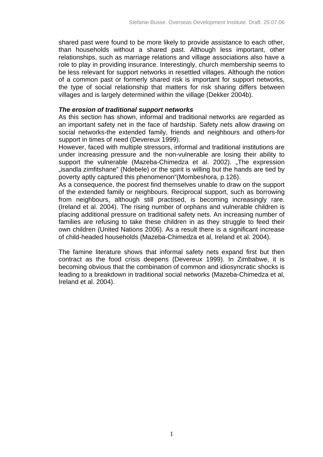shared past were found to be more likely to provide assistance to each other, than households without a shared past. Although less important, other relationships, such as marriage relations and village associations also have a role to play in providing insurance. Interestingly, church membership seems to be less relevant for support networks in resettled villages. Although the notion of a common past or formerly shared risk is important for support networks, the type of social relationship that matters for risk sharing differs between villages and is largely determined within the village (Dekker 2004b).

#### *The erosion of traditional support networks*

As this section has shown, informal and traditional networks are regarded as an important safety net in the face of hardship. Safety nets allow drawing on social networks-the extended family, friends and neighbours and others-for support in times of need (Devereux 1999).

However, faced with multiple stressors, informal and traditional institutions are under increasing pressure and the non-vulnerable are losing their ability to support the vulnerable (Mazeba-Chimedza et al. 2002). "The expression "isandla zimfitshane" (Ndebele) or the spirit is willing but the hands are tied by poverty aptly captured this phenomenon"(Mombeshora, p.126).

As a consequence, the poorest find themselves unable to draw on the support of the extended family or neighbours. Reciprocal support, such as borrowing from neighbours, although still practised, is becoming increasingly rare. (Ireland et al. 2004). The rising number of orphans and vulnerable children is placing additional pressure on traditional safety nets. An increasing number of families are refusing to take these children in as they struggle to feed their own children (United Nations 2006). As a result there is a significant increase of child-headed households (Mazeba-Chimedza et al, Ireland et al. 2004).

The famine literature shows that informal safety nets expand first but then contract as the food crisis deepens (Devereux 1999). In Zimbabwe, it is becoming obvious that the combination of common and idiosyncratic shocks is leading to a breakdown in traditional social networks (Mazeba-Chimedza et al, Ireland et al. 2004).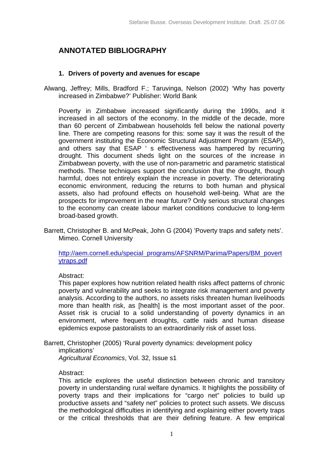# **ANNOTATED BIBLIOGRAPHY**

## **1. Drivers of poverty and avenues for escape**

Alwang, Jeffrey; Mills, Bradford F.; Taruvinga, Nelson (2002) 'Why has poverty increased in Zimbabwe?' Publisher: World Bank

Poverty in Zimbabwe increased significantly during the 1990s, and it increased in all sectors of the economy. In the middle of the decade, more than 60 percent of Zimbabwean households fell below the national poverty line. There are competing reasons for this: some say it was the result of the government instituting the Economic Structural Adjustment Program (ESAP), and others say that ESAP ' s effectiveness was hampered by recurring drought. This document sheds light on the sources of the increase in Zimbabwean poverty, with the use of non-parametric and parametric statistical methods. These techniques support the conclusion that the drought, though harmful, does not entirely explain the increase in poverty. The deteriorating economic environment, reducing the returns to both human and physical assets, also had profound effects on household well-being. What are the prospects for improvement in the near future? Only serious structural changes to the economy can create labour market conditions conducive to long-term broad-based growth.

Barrett, Christopher B. and McPeak, John G (2004) 'Poverty traps and safety nets'. Mimeo. Cornell University

http://aem.cornell.edu/special\_programs/AFSNRM/Parima/Papers/BM\_povert ytraps.pdf

Abstract:

This paper explores how nutrition related health risks affect patterns of chronic poverty and vulnerability and seeks to integrate risk management and poverty analysis. According to the authors, no assets risks threaten human livelihoods more than health risk, as [health] is the most important asset of the poor. Asset risk is crucial to a solid understanding of poverty dynamics in an environment, where frequent droughts, cattle raids and human disease epidemics expose pastoralists to an extraordinarily risk of asset loss.

Barrett, Christopher (2005) 'Rural poverty dynamics: development policy

implications'

*Agricultural Economics*, Vol. 32, Issue s1

#### Abstract:

This article explores the useful distinction between chronic and transitory poverty in understanding rural welfare dynamics. It highlights the possibility of poverty traps and their implications for "cargo net" policies to build up productive assets and "safety net" policies to protect such assets. We discuss the methodological difficulties in identifying and explaining either poverty traps or the critical thresholds that are their defining feature. A few empirical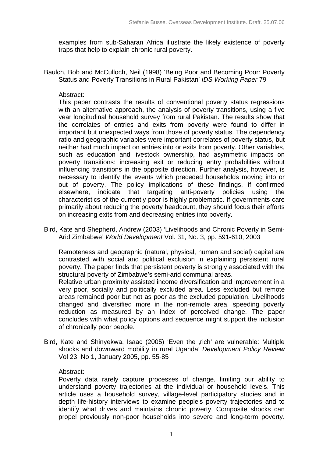examples from sub-Saharan Africa illustrate the likely existence of poverty traps that help to explain chronic rural poverty.

Baulch, Bob and McCulloch, Neil (1998) 'Being Poor and Becoming Poor: Poverty Status and Poverty Transitions in Rural Pakistan' *IDS Working Paper* 79

#### Abstract:

This paper contrasts the results of conventional poverty status regressions with an alternative approach, the analysis of poverty transitions, using a five year longitudinal household survey from rural Pakistan. The results show that the correlates of entries and exits from poverty were found to differ in important but unexpected ways from those of poverty status. The dependency ratio and geographic variables were important correlates of poverty status, but neither had much impact on entries into or exits from poverty. Other variables, such as education and livestock ownership, had asymmetric impacts on poverty transitions: increasing exit or reducing entry probabilities without influencing transitions in the opposite direction. Further analysis, however, is necessary to identify the events which preceded households moving into or out of poverty. The policy implications of these findings, if confirmed elsewhere, indicate that targeting anti-poverty policies using the characteristics of the currently poor is highly problematic. If governments care primarily about reducing the poverty headcount, they should focus their efforts on increasing exits from and decreasing entries into poverty.

Bird, Kate and Shepherd, Andrew (2003) 'Livelihoods and Chronic Poverty in Semi-Arid Zimbabwe' *World Development* Vol. 31, No. 3, pp. 591-610, 2003

Remoteness and geographic (natural, physical, human and social) capital are contrasted with social and political exclusion in explaining persistent rural poverty. The paper finds that persistent poverty is strongly associated with the structural poverty of Zimbabwe's semi-arid communal areas.

Relative urban proximity assisted income diversification and improvement in a very poor, socially and politically excluded area. Less excluded but remote areas remained poor but not as poor as the excluded population. Livelihoods changed and diversified more in the non-remote area, speeding poverty reduction as measured by an index of perceived change. The paper concludes with what policy options and sequence might support the inclusion of chronically poor people.

Bird, Kate and Shinyekwa, Isaac (2005) 'Even the ,rich' are vulnerable: Multiple shocks and downward mobility in rural Uganda' *Development Policy Review* Vol 23, No 1, January 2005, pp. 55-85

#### Abstract:

Poverty data rarely capture processes of change, limiting our ability to understand poverty trajectories at the individual or household levels. This article uses a household survey, village-level participatory studies and in depth life-history interviews to examine people's poverty trajectories and to identify what drives and maintains chronic poverty. Composite shocks can propel previously non-poor households into severe and long-term poverty.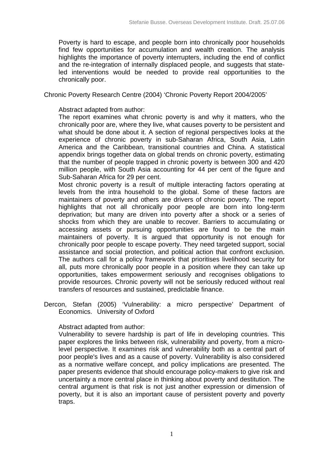Poverty is hard to escape, and people born into chronically poor households find few opportunities for accumulation and wealth creation. The analysis highlights the importance of poverty interrupters, including the end of conflict and the re-integration of internally displaced people, and suggests that stateled interventions would be needed to provide real opportunities to the chronically poor.

Chronic Poverty Research Centre (2004) 'Chronic Poverty Report 2004/2005'

Abstract adapted from author:

The report examines what chronic poverty is and why it matters, who the chronically poor are, where they live, what causes poverty to be persistent and what should be done about it. A section of regional perspectives looks at the experience of chronic poverty in sub-Saharan Africa, South Asia, Latin America and the Caribbean, transitional countries and China. A statistical appendix brings together data on global trends on chronic poverty, estimating that the number of people trapped in chronic poverty is between 300 and 420 million people, with South Asia accounting for 44 per cent of the figure and Sub-Saharan Africa for 29 per cent.

Most chronic poverty is a result of multiple interacting factors operating at levels from the intra household to the global. Some of these factors are maintainers of poverty and others are drivers of chronic poverty. The report highlights that not all chronically poor people are born into long-term deprivation; but many are driven into poverty after a shock or a series of shocks from which they are unable to recover. Barriers to accumulating or accessing assets or pursuing opportunities are found to be the main maintainers of poverty. It is argued that opportunity is not enough for chronically poor people to escape poverty. They need targeted support, social assistance and social protection, and political action that confront exclusion. The authors call for a policy framework that prioritises livelihood security for all, puts more chronically poor people in a position where they can take up opportunities, takes empowerment seriously and recognises obligations to provide resources. Chronic poverty will not be seriously reduced without real transfers of resources and sustained, predictable finance.

Dercon, Stefan (2005) 'Vulnerability: a micro perspective' Department of Economics. University of Oxford

#### Abstract adapted from author:

Vulnerability to severe hardship is part of life in developing countries. This paper explores the links between risk, vulnerability and poverty, from a microlevel perspective. It examines risk and vulnerability both as a central part of poor people's lives and as a cause of poverty. Vulnerability is also considered as a normative welfare concept, and policy implications are presented. The paper presents evidence that should encourage policy-makers to give risk and uncertainty a more central place in thinking about poverty and destitution. The central argument is that risk is not just another expression or dimension of poverty, but it is also an important cause of persistent poverty and poverty traps.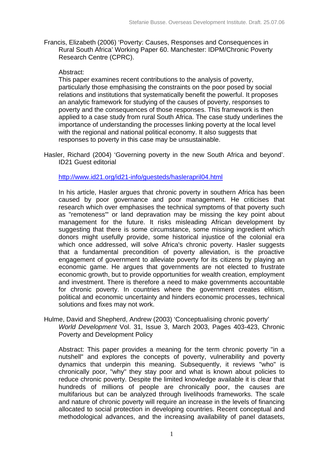Francis, Elizabeth (2006) 'Poverty: Causes, Responses and Consequences in Rural South Africa' Working Paper 60. Manchester: IDPM/Chronic Poverty Research Centre (CPRC).

#### Abstract:

This paper examines recent contributions to the analysis of poverty, particularly those emphasising the constraints on the poor posed by social relations and institutions that systematically benefit the powerful. It proposes an analytic framework for studying of the causes of poverty, responses to poverty and the consequences of those responses. This framework is then applied to a case study from rural South Africa. The case study underlines the importance of understanding the processes linking poverty at the local level with the regional and national political economy. It also suggests that responses to poverty in this case may be unsustainable.

Hasler, Richard (2004) 'Governing poverty in the new South Africa and beyond'. ID21 Guest editorial

#### http://www.id21.org/id21-info/guesteds/haslerapril04.html

In his article, Hasler argues that chronic poverty in southern Africa has been caused by poor governance and poor management. He criticises that research which over emphasises the technical symptoms of that poverty such as "remoteness"' or land depravation may be missing the key point about management for the future. It risks misleading African development by suggesting that there is some circumstance, some missing ingredient which donors might usefully provide, some historical injustice of the colonial era which once addressed, will solve Africa's chronic poverty. Hasler suggests that a fundamental precondition of poverty alleviation, is the proactive engagement of government to alleviate poverty for its citizens by playing an economic game. He argues that governments are not elected to frustrate economic growth, but to provide opportunities for wealth creation, employment and investment. There is therefore a need to make governments accountable for chronic poverty. In countries where the government creates elitism, political and economic uncertainty and hinders economic processes, technical solutions and fixes may not work.

Hulme, David and Shepherd, Andrew (2003) 'Conceptualising chronic poverty' *World Development* Vol. 31, Issue 3, March 2003, Pages 403-423, Chronic Poverty and Development Policy

Abstract: This paper provides a meaning for the term chronic poverty "in a nutshell" and explores the concepts of poverty, vulnerability and poverty dynamics that underpin this meaning. Subsequently, it reviews "who" is chronically poor, "why" they stay poor and what is known about policies to reduce chronic poverty. Despite the limited knowledge available it is clear that hundreds of millions of people are chronically poor, the causes are multifarious but can be analyzed through livelihoods frameworks. The scale and nature of chronic poverty will require an increase in the levels of financing allocated to social protection in developing countries. Recent conceptual and methodological advances, and the increasing availability of panel datasets,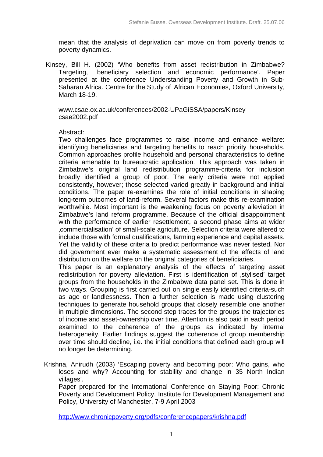mean that the analysis of deprivation can move on from poverty trends to poverty dynamics.

 Kinsey, Bill H. (2002) 'Who benefits from asset redistribution in Zimbabwe? Targeting, beneficiary selection and economic performance'. Paper presented at the conference Understanding Poverty and Growth in Sub-Saharan Africa. Centre for the Study of African Economies, Oxford University, March 18-19.

www.csae.ox.ac.uk/conferences/2002-UPaGiSSA/papers/Kinsey csae2002.pdf

#### Abstract:

Two challenges face programmes to raise income and enhance welfare: identifying beneficiaries and targeting benefits to reach priority households. Common approaches profile household and personal characteristics to define criteria amenable to bureaucratic application. This approach was taken in Zimbabwe's original land redistribution programme-criteria for inclusion broadly identified a group of poor. The early criteria were not applied consistently, however; those selected varied greatly in background and initial conditions. The paper re-examines the role of initial conditions in shaping long-term outcomes of land-reform. Several factors make this re-examination worthwhile. Most important is the weakening focus on poverty alleviation in Zimbabwe's land reform programme. Because of the official disappointment with the performance of earlier resettlement, a second phase aims at wider 'commercialisation' of small-scale agriculture. Selection criteria were altered to include those with formal qualifications, farming experience and capital assets. Yet the validity of these criteria to predict performance was never tested. Nor did government ever make a systematic assessment of the effects of land distribution on the welfare on the original categories of beneficiaries.

This paper is an explanatory analysis of the effects of targeting asset redistribution for poverty alleviation. First is identification of stylised' target groups from the households in the Zimbabwe data panel set. This is done in two ways. Grouping is first carried out on single easily identified criteria-such as age or landlessness. Then a further selection is made using clustering techniques to generate household groups that closely resemble one another in multiple dimensions. The second step traces for the groups the trajectories of income and asset-ownership over time. Attention is also paid in each period examined to the coherence of the groups as indicated by internal heterogeneity. Earlier findings suggest the coherence of group membership over time should decline, i.e. the initial conditions that defined each group will no longer be determining.

Krishna, Anirudh (2003) 'Escaping poverty and becoming poor: Who gains, who loses and why? Accounting for stability and change in 35 North Indian villages'.

Paper prepared for the International Conference on Staying Poor: Chronic Poverty and Development Policy. Institute for Development Management and Policy, University of Manchester, 7-9 April 2003

http://www.chronicpoverty.org/pdfs/conferencepapers/krishna.pdf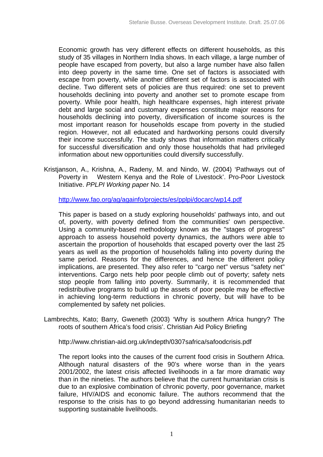Economic growth has very different effects on different households, as this study of 35 villages in Northern India shows. In each village, a large number of people have escaped from poverty, but also a large number have also fallen into deep poverty in the same time. One set of factors is associated with escape from poverty, while another different set of factors is associated with decline. Two different sets of policies are thus required: one set to prevent households declining into poverty and another set to promote escape from poverty. While poor health, high healthcare expenses, high interest private debt and large social and customary expenses constitute major reasons for households declining into poverty, diversification of income sources is the most important reason for households escape from poverty in the studied region. However, not all educated and hardworking persons could diversify their income successfully. The study shows that information matters critically for successful diversification and only those households that had privileged information about new opportunities could diversify successfully.

Kristjanson, A., Krishna, A., Radeny, M. and Nindo, W. (2004) 'Pathways out of Poverty in Western Kenya and the Role of Livestock'. Pro-Poor Livestock Initiative. *PPLPI Working paper* No. 14

http://www.fao.org/ag/againfo/projects/es/pplpi/docarc/wp14.pdf

This paper is based on a study exploring households' pathways into, and out of, poverty, with poverty defined from the communities' own perspective. Using a community-based methodology known as the "stages of progress" approach to assess household poverty dynamics, the authors were able to ascertain the proportion of households that escaped poverty over the last 25 years as well as the proportion of households falling into poverty during the same period. Reasons for the differences, and hence the different policy implications, are presented. They also refer to "cargo net" versus "safety net" interventions. Cargo nets help poor people climb out of poverty; safety nets stop people from falling into poverty. Summarily, it is recommended that redistributive programs to build up the assets of poor people may be effective in achieving long-term reductions in chronic poverty, but will have to be complemented by safety net policies.

Lambrechts, Kato; Barry, Gweneth (2003) 'Why is southern Africa hungry? The roots of southern Africa's food crisis'. Christian Aid Policy Briefing

http://www.christian-aid.org.uk/indepth/0307safrica/safoodcrisis.pdf

The report looks into the causes of the current food crisis in Southern Africa. Although natural disasters of the 90's where worse than in the years 2001/2002, the latest crisis affected livelihoods in a far more dramatic way than in the nineties. The authors believe that the current humanitarian crisis is due to an explosive combination of chronic poverty, poor governance, market failure, HIV/AIDS and economic failure. The authors recommend that the response to the crisis has to go beyond addressing humanitarian needs to supporting sustainable livelihoods.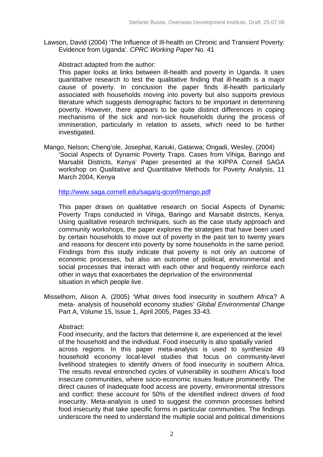Lawson, David (2004) 'The Influence of Ill-health on Chronic and Transient Poverty: Evidence from Uganda'. *CPRC Working Paper* No. 41

Abstract adapted from the author:

This paper looks at links between ill-health and poverty in Uganda. It uses quantitative research to test the qualitative finding that ill-health is a major cause of poverty. In conclusion the paper finds ill-health particularly associated with households moving into poverty but also supports previous literature which suggests demographic factors to be important in determining poverty. However, there appears to be quite distinct differences in coping mechanisms of the sick and non-sick households during the process of immiseration, particularly in relation to assets, which need to be further investigated.

Mango, Nelson; Cheng'ole, Josephat, Kariuki, Gatarwa; Ongadi, Wesley, (2004) 'Social Aspects of Dynamic Poverty Traps. Cases from Vihiga, Baringo and Marsabit Districts, Kenya' Paper presented at the KIPPA Cornell SAGA workshop on Qualitative and Quantitative Methods for Poverty Analysis, 11 March 2004, Kenya

http://www.saga.cornell.edu/saga/q-qconf/mango.pdf

This paper draws on qualitative research on Social Aspects of Dynamic Poverty Traps conducted in Vihiga, Baringo and Marsabit districts, Kenya. Using qualitative research techniques, such as the case study approach and community workshops, the paper explores the strategies that have been used by certain households to move out of poverty in the past ten to twenty years and reasons for descent into poverty by some households in the same period. Findings from this study indicate that poverty is not only an outcome of economic processes, but also an outcome of political, environmental and social processes that interact with each other and frequently reinforce each other in ways that exacerbates the deprivation of the environmental situation in which people live.

Misselhorn, Alison A. (2005) 'What drives food insecurity in southern Africa? A meta- analysis of household economy studies' *Global Environmental Change* Part A, Volume 15, Issue 1, April 2005, Pages 33-43.

# Abstract:

Food insecurity, and the factors that determine it, are experienced at the level of the household and the individual. Food insecurity is also spatially varied across regions. In this paper meta-analysis is used to synthesize 49 household economy local-level studies that focus on community-level livelihood strategies to identify drivers of food insecurity in southern Africa. The results reveal entrenched cycles of vulnerability in southern Africa's food insecure communities, where socio-economic issues feature prominently. The direct causes of inadequate food access are poverty, environmental stressors and conflict: these account for 50% of the identified indirect drivers of food insecurity. Meta-analysis is used to suggest the common processes behind food insecurity that take specific forms in particular communities. The findings underscore the need to understand the multiple social and political dimensions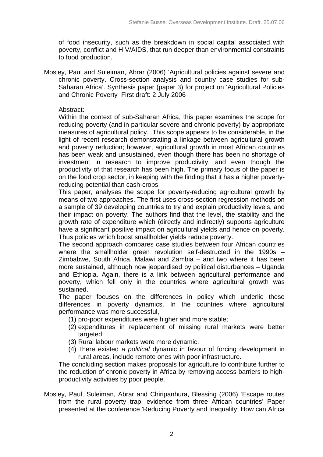of food insecurity, such as the breakdown in social capital associated with poverty, conflict and HIV/AIDS, that run deeper than environmental constraints to food production.

Mosley, Paul and Suleiman, Abrar (2006) 'Agricultural policies against severe and chronic poverty. Cross-section analysis and country case studies for sub-Saharan Africa'. Synthesis paper (paper 3) for project on 'Agricultural Policies and Chronic Poverty First draft: 2 July 2006

#### Abstract:

Within the context of sub-Saharan Africa, this paper examines the scope for reducing poverty (and in particular severe and chronic poverty) by appropriate measures of agricultural policy. This scope appears to be considerable, in the light of recent research demonstrating a linkage between agricultural growth and poverty reduction; however, agricultural growth in most African countries has been weak and unsustained, even though there has been no shortage of investment in research to improve productivity, and even though the productivity of that research has been high. The primary focus of the paper is on the food crop sector, in keeping with the finding that it has a higher povertyreducing potential than cash-crops.

This paper, analyses the scope for poverty-reducing agricultural growth by means of two approaches. The first uses cross-section regression methods on a sample of 39 developing countries to try and explain productivity levels, and their impact on poverty. The authors find that the level, the stability and the growth rate of expenditure which (directly and indirectly) supports agriculture have a significant positive impact on agricultural yields and hence on poverty. Thus policies which boost smallholder yields reduce poverty.

The second approach compares case studies between four African countries where the smallholder green revolution self-destructed in the 1990s -Zimbabwe, South Africa, Malawi and Zambia – and two where it has been more sustained, although now jeopardised by political disturbances – Uganda and Ethiopia. Again, there is a link between agricultural performance and poverty, which fell only in the countries where agricultural growth was sustained.

The paper focuses on the differences in policy which underlie these differences in poverty dynamics. In the countries where agricultural performance was more successful,

- (1) pro-poor expenditures were higher and more stable;
- (2) expenditures in replacement of missing rural markets were better targeted;
- (3) Rural labour markets were more dynamic.
- (4) There existed a *political* dynamic in favour of forcing development in rural areas, include remote ones with poor infrastructure.

The concluding section makes proposals for agriculture to contribute further to the reduction of chronic poverty in Africa by removing access barriers to highproductivity activities by poor people.

Mosley, Paul, Suleiman, Abrar and Chiripanhura, Blessing (2006) 'Escape routes from the rural poverty trap: evidence from three African countries' Paper presented at the conference 'Reducing Poverty and Inequality: How can Africa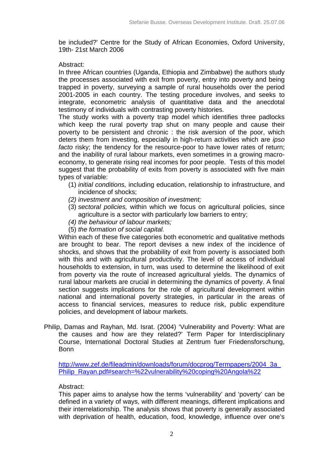be included?' Centre for the Study of African Economies, Oxford University, 19th- 21st March 2006

# Abstract:

In three African countries (Uganda, Ethiopia and Zimbabwe) the authors study the processes associated with exit from poverty, entry into poverty and being trapped in poverty, surveying a sample of rural households over the period 2001-2005 in each country. The testing procedure involves, and seeks to integrate, econometric analysis of quantitative data and the anecdotal testimony of individuals with contrasting poverty histories.

The study works with a poverty trap model which identifies three padlocks which keep the rural poverty trap shut on many people and cause their poverty to be persistent and chronic : the risk aversion of the poor, which deters them from investing, especially in high-return activities which are *ipso facto* risky; the tendency for the resource-poor to have lower rates of return; and the inability of rural labour markets, even sometimes in a growing macroeconomy, to generate rising real incomes for poor people. Tests of this model suggest that the probability of exits from poverty is associated with five main types of variable:

- (1) *initial conditions,* including education, relationship to infrastructure, and incidence of shocks;
- *(2) investment and composition of investment;*
- (3) *sectoral policies,* within which we focus on agricultural policies, since agriculture is a sector with particularly low barriers to entry;
- *(4) the behaviour of labour markets;*
- (5) *the formation of social capital.*

Within each of these five categories both econometric and qualitative methods are brought to bear. The report devises a new index of the incidence of shocks, and shows that the probability of exit from poverty is associated both with this and with agricultural productivity. The level of access of individual households to extension, in turn, was used to determine the likelihood of exit from poverty via the route of increased agricultural yields. The dynamics of rural labour markets are crucial in determining the dynamics of poverty. A final section suggests implications for the role of agricultural development within national and international poverty strategies, in particular in the areas of access to financial services, measures to reduce risk, public expenditure policies, and development of labour markets.

Philip, Damas and Rayhan, Md. Israt. (2004) 'Vulnerability and Poverty: What are the causes and how are they related?' Term Paper for Interdisciplinary Course, International Doctoral Studies at Zentrum fuer Friedensforschung, Bonn

http://www.zef.de/fileadmin/downloads/forum/docprog/Termpapers/2004\_3a\_ Philip\_Rayan.pdf#search=%22vulnerability%20coping%20Angola%22

# Abstract:

This paper aims to analyse how the terms 'vulnerability' and 'poverty' can be defined in a variety of ways, with different meanings, different implications and their interrelationship. The analysis shows that poverty is generally associated with deprivation of health, education, food, knowledge, influence over one's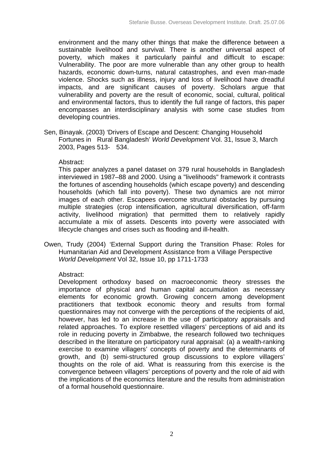environment and the many other things that make the difference between a sustainable livelihood and survival. There is another universal aspect of poverty, which makes it particularly painful and difficult to escape: Vulnerability. The poor are more vulnerable than any other group to health hazards, economic down-turns, natural catastrophes, and even man-made violence. Shocks such as illness, injury and loss of livelihood have dreadful impacts, and are significant causes of poverty. Scholars argue that vulnerability and poverty are the result of economic, social, cultural, political and environmental factors, thus to identify the full range of factors, this paper encompasses an interdisciplinary analysis with some case studies from developing countries.

Sen, Binayak. (2003) 'Drivers of Escape and Descent: Changing Household Fortunes in Rural Bangladesh' *World Development* Vol. 31, Issue 3, March 2003, Pages 513- 534.

# Abstract:

This paper analyzes a panel dataset on 379 rural households in Bangladesh interviewed in 1987–88 and 2000. Using a "livelihoods" framework it contrasts the fortunes of ascending households (which escape poverty) and descending households (which fall into poverty). These two dynamics are not mirror images of each other. Escapees overcome structural obstacles by pursuing multiple strategies (crop intensification, agricultural diversification, off-farm activity, livelihood migration) that permitted them to relatively rapidly accumulate a mix of assets. Descents into poverty were associated with lifecycle changes and crises such as flooding and ill-health.

Owen, Trudy (2004) 'External Support during the Transition Phase: Roles for Humanitarian Aid and Development Assistance from a Village Perspective *World Development* Vol 32, Issue 10, pp 1711-1733

# Abstract:

Development orthodoxy based on macroeconomic theory stresses the importance of physical and human capital accumulation as necessary elements for economic growth. Growing concern among development practitioners that textbook economic theory and results from formal questionnaires may not converge with the perceptions of the recipients of aid, however, has led to an increase in the use of participatory appraisals and related approaches. To explore resettled villagers' perceptions of aid and its role in reducing poverty in Zimbabwe, the research followed two techniques described in the literature on participatory rural appraisal: (a) a wealth-ranking exercise to examine villagers' concepts of poverty and the determinants of growth, and (b) semi-structured group discussions to explore villagers' thoughts on the role of aid. What is reassuring from this exercise is the convergence between villagers' perceptions of poverty and the role of aid with the implications of the economics literature and the results from administration of a formal household questionnaire.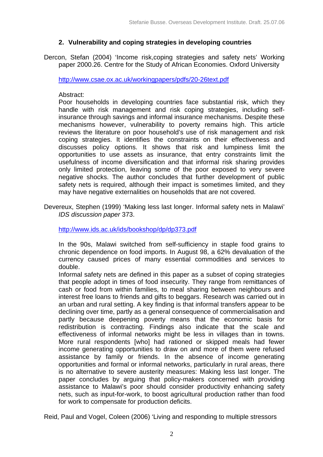# **2. Vulnerability and coping strategies in developing countries**

Dercon, Stefan (2004) 'Income risk,coping strategies and safety nets' Working paper 2000.26. Centre for the Study of African Economies. Oxford University

http://www.csae.ox.ac.uk/workingpapers/pdfs/20-26text.pdf

## Abstract:

Poor households in developing countries face substantial risk, which they handle with risk management and risk coping strategies, including selfinsurance through savings and informal insurance mechanisms. Despite these mechanisms however, vulnerability to poverty remains high. This article reviews the literature on poor household's use of risk management and risk coping strategies. It identifies the constraints on their effectiveness and discusses policy options. It shows that risk and lumpiness limit the opportunities to use assets as insurance, that entry constraints limit the usefulness of income diversification and that informal risk sharing provides only limited protection, leaving some of the poor exposed to very severe negative shocks. The author concludes that further development of public safety nets is required, although their impact is sometimes limited, and they may have negative externalities on households that are not covered.

Devereux, Stephen (1999) 'Making less last longer. Informal safety nets in Malawi' *IDS discussion paper* 373.

http://www.ids.ac.uk/ids/bookshop/dp/dp373.pdf

In the 90s, Malawi switched from self-sufficiency in staple food grains to chronic dependence on food imports. In August 98, a 62% devaluation of the currency caused prices of many essential commodities and services to double.

Informal safety nets are defined in this paper as a subset of coping strategies that people adopt in times of food insecurity. They range from remittances of cash or food from within families, to meal sharing between neighbours and interest free loans to friends and gifts to beggars. Research was carried out in an urban and rural setting. A key finding is that informal transfers appear to be declining over time, partly as a general consequence of commercialisation and partly because deepening poverty means that the economic basis for redistribution is contracting. Findings also indicate that the scale and effectiveness of informal networks might be less in villages than in towns. More rural respondents [who] had rationed or skipped meals had fewer income generating opportunities to draw on and more of them were refused assistance by family or friends. In the absence of income generating opportunities and formal or informal networks, particularly in rural areas, there is no alternative to severe austerity measures: Making less last longer. The paper concludes by arguing that policy-makers concerned with providing assistance to Malawi's poor should consider productivity enhancing safety nets, such as input-for-work, to boost agricultural production rather than food for work to compensate for production deficits.

Reid, Paul and Vogel, Coleen (2006) 'Living and responding to multiple stressors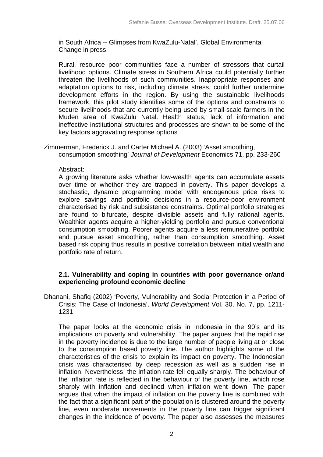in South Africa -- Glimpses from KwaZulu-Natal'. Global Environmental Change in press.

Rural, resource poor communities face a number of stressors that curtail livelihood options. Climate stress in Southern Africa could potentially further threaten the livelihoods of such communities. Inappropriate responses and adaptation options to risk, including climate stress, could further undermine development efforts in the region. By using the sustainable livelihoods framework, this pilot study identifies some of the options and constraints to secure livelihoods that are currently being used by small-scale farmers in the Muden area of KwaZulu Natal. Health status, lack of information and ineffective institutional structures and processes are shown to be some of the key factors aggravating response options

Zimmerman, Frederick J. and Carter Michael A. (2003) 'Asset smoothing, consumption smoothing' *Journal of Development* Economics 71, pp. 233-260

# Abstract:

A growing literature asks whether low-wealth agents can accumulate assets over time or whether they are trapped in poverty. This paper develops a stochastic, dynamic programming model with endogenous price risks to explore savings and portfolio decisions in a resource-poor environment characterised by risk and subsistence constraints. Optimal portfolio strategies are found to bifurcate, despite divisible assets and fully rational agents. Wealthier agents acquire a higher-yielding portfolio and pursue conventional consumption smoothing. Poorer agents acquire a less remunerative portfolio and pursue asset smoothing, rather than consumption smoothing. Asset based risk coping thus results in positive correlation between initial wealth and portfolio rate of return.

#### **2.1. Vulnerability and coping in countries with poor governance or/and experiencing profound economic decline**

Dhanani, Shafiq (2002) 'Poverty, Vulnerability and Social Protection in a Period of Crisis: The Case of Indonesia'. *World Development* Vol. 30, No. 7, pp. 1211- 1231

The paper looks at the economic crisis in Indonesia in the 90's and its implications on poverty and vulnerability. The paper argues that the rapid rise in the poverty incidence is due to the large number of people living at or close to the consumption based poverty line. The author highlights some of the characteristics of the crisis to explain its impact on poverty. The Indonesian crisis was characterised by deep recession as well as a sudden rise in inflation. Nevertheless, the inflation rate fell equally sharply. The behaviour of the inflation rate is reflected in the behaviour of the poverty line, which rose sharply with inflation and declined when inflation went down. The paper argues that when the impact of inflation on the poverty line is combined with the fact that a significant part of the population is clustered around the poverty line, even moderate movements in the poverty line can trigger significant changes in the incidence of poverty. The paper also assesses the measures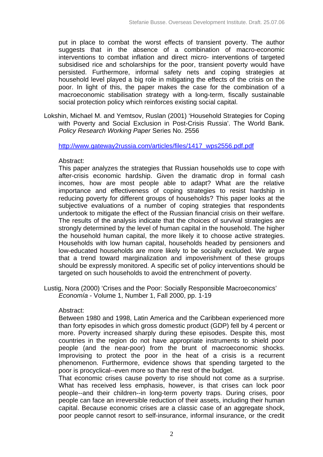put in place to combat the worst effects of transient poverty. The author suggests that in the absence of a combination of macro-economic interventions to combat inflation and direct micro- interventions of targeted subsidised rice and scholarships for the poor, transient poverty would have persisted. Furthermore, informal safety nets and coping strategies at household level played a big role in mitigating the effects of the crisis on the poor. In light of this, the paper makes the case for the combination of a macroeconomic stabilisation strategy with a long-term, fiscally sustainable social protection policy which reinforces existing social capital.

Lokshin, Michael M. and Yemtsov, Ruslan (2001) 'Household Strategies for Coping with Poverty and Social Exclusion in Post-Crisis Russia'. The World Bank. *Policy Research Working Paper* Series No. 2556

http://www.gateway2russia.com/articles/files/1417\_wps2556.pdf.pdf

# Abstract:

This paper analyzes the strategies that Russian households use to cope with after-crisis economic hardship. Given the dramatic drop in formal cash incomes, how are most people able to adapt? What are the relative importance and effectiveness of coping strategies to resist hardship in reducing poverty for different groups of households? This paper looks at the subjective evaluations of a number of coping strategies that respondents undertook to mitigate the effect of the Russian financial crisis on their welfare. The results of the analysis indicate that the choices of survival strategies are strongly determined by the level of human capital in the household. The higher the household human capital, the more likely it to choose active strategies. Households with low human capital, households headed by pensioners and low-educated households are more likely to be socially excluded. We argue that a trend toward marginalization and impoverishment of these groups should be expressly monitored. A specific set of policy interventions should be targeted on such households to avoid the entrenchment of poverty.

Lustig, Nora (2000) 'Crises and the Poor: Socially Responsible Macroeconomics' *Economía* - Volume 1, Number 1, Fall 2000, pp. 1-19

# Abstract:

Between 1980 and 1998, Latin America and the Caribbean experienced more than forty episodes in which gross domestic product (GDP) fell by 4 percent or more. Poverty increased sharply during these episodes. Despite this, most countries in the region do not have appropriate instruments to shield poor people (and the near-poor) from the brunt of macroeconomic shocks. Improvising to protect the poor in the heat of a crisis is a recurrent phenomenon. Furthermore, evidence shows that spending targeted to the poor is procyclical--even more so than the rest of the budget.

That economic crises cause poverty to rise should not come as a surprise. What has received less emphasis, however, is that crises can lock poor people--and their children--in long-term poverty traps. During crises, poor people can face an irreversible reduction of their assets, including their human capital. Because economic crises are a classic case of an aggregate shock, poor people cannot resort to self-insurance, informal insurance, or the credit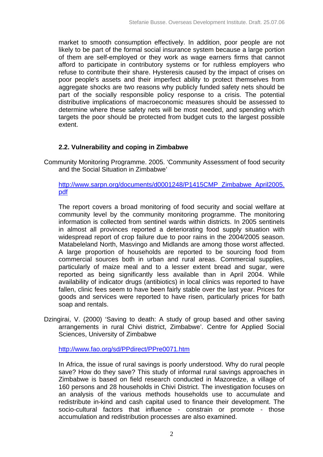market to smooth consumption effectively. In addition, poor people are not likely to be part of the formal social insurance system because a large portion of them are self-employed or they work as wage earners firms that cannot afford to participate in contributory systems or for ruthless employers who refuse to contribute their share. Hysteresis caused by the impact of crises on poor people's assets and their imperfect ability to protect themselves from aggregate shocks are two reasons why publicly funded safety nets should be part of the socially responsible policy response to a crisis. The potential distributive implications of macroeconomic measures should be assessed to determine where these safety nets will be most needed, and spending which targets the poor should be protected from budget cuts to the largest possible extent.

# **2.2. Vulnerability and coping in Zimbabwe**

Community Monitoring Programme. 2005. 'Community Assessment of food security and the Social Situation in Zimbabwe'

# http://www.sarpn.org/documents/d0001248/P1415CMP\_Zimbabwe\_April2005. pdf

The report covers a broad monitoring of food security and social welfare at community level by the community monitoring programme. The monitoring information is collected from sentinel wards within districts. In 2005 sentinels in almost all provinces reported a deteriorating food supply situation with widespread report of crop failure due to poor rains in the 2004/2005 season. Matabeleland North, Masvingo and Midlands are among those worst affected. A large proportion of households are reported to be sourcing food from commercial sources both in urban and rural areas. Commercial supplies, particularly of maize meal and to a lesser extent bread and sugar, were reported as being significantly less available than in April 2004. While availability of indicator drugs (antibiotics) in local clinics was reported to have fallen, clinic fees seem to have been fairly stable over the last year. Prices for goods and services were reported to have risen, particularly prices for bath soap and rentals.

Dzingirai, V. (2000) 'Saving to death: A study of group based and other saving arrangements in rural Chivi district, Zimbabwe'. Centre for Applied Social Sciences, University of Zimbabwe

http://www.fao.org/sd/PPdirect/PPre0071.htm

In Africa, the issue of rural savings is poorly understood. Why do rural people save? How do they save? This study of informal rural savings approaches in Zimbabwe is based on field research conducted in Mazoredze, a village of 160 persons and 28 households in Chivi District. The investigation focuses on an analysis of the various methods households use to accumulate and redistribute in-kind and cash capital used to finance their development. The socio-cultural factors that influence - constrain or promote - those accumulation and redistribution processes are also examined.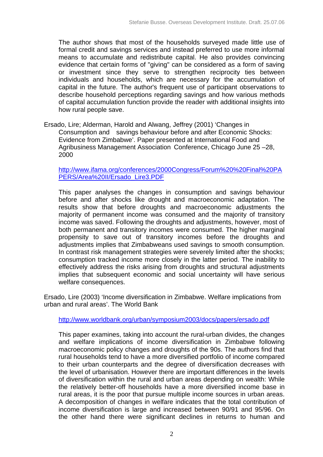The author shows that most of the households surveyed made little use of formal credit and savings services and instead preferred to use more informal means to accumulate and redistribute capital. He also provides convincing evidence that certain forms of "giving" can be considered as a form of saving or investment since they serve to strengthen reciprocity ties between individuals and households, which are necessary for the accumulation of capital in the future. The author's frequent use of participant observations to describe household perceptions regarding savings and how various methods of capital accumulation function provide the reader with additional insights into how rural people save.

Ersado, Lire; Alderman, Harold and Alwang, Jeffrey (2001) 'Changes in Consumption and savings behaviour before and after Economic Shocks: Evidence from Zimbabwe'. Paper presented at International Food and Agribusiness Management Association Conference, Chicago June 25 –28, 2000

http://www.ifama.org/conferences/2000Congress/Forum%20%20Final%20PA PERS/Area%20II/Ersado\_Lire3.PDF

This paper analyses the changes in consumption and savings behaviour before and after shocks like drought and macroeconomic adaptation. The results show that before droughts and macroeconomic adjustments the majority of permanent income was consumed and the majority of transitory income was saved. Following the droughts and adjustments, however, most of both permanent and transitory incomes were consumed. The higher marginal propensity to save out of transitory incomes before the droughts and adjustments implies that Zimbabweans used savings to smooth consumption. In contrast risk management strategies were severely limited after the shocks; consumption tracked income more closely in the latter period. The inability to effectively address the risks arising from droughts and structural adjustments implies that subsequent economic and social uncertainty will have serious welfare consequences.

Ersado, Lire (2003) 'Income diversification in Zimbabwe. Welfare implications from urban and rural areas'. The World Bank

http://www.worldbank.org/urban/symposium2003/docs/papers/ersado.pdf

This paper examines, taking into account the rural-urban divides, the changes and welfare implications of income diversification in Zimbabwe following macroeconomic policy changes and droughts of the 90s. The authors find that rural households tend to have a more diversified portfolio of income compared to their urban counterparts and the degree of diversification decreases with the level of urbanisation. However there are important differences in the levels of diversification within the rural and urban areas depending on wealth: While the relatively better-off households have a more diversified income base in rural areas, it is the poor that pursue multiple income sources in urban areas. A decomposition of changes in welfare indicates that the total contribution of income diversification is large and increased between 90/91 and 95/96. On the other hand there were significant declines in returns to human and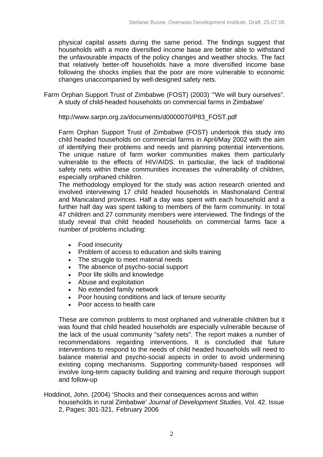physical capital assets during the same period. The findings suggest that households with a more diversified income base are better able to withstand the unfavourable impacts of the policy changes and weather shocks. The fact that relatively better-off households have a more diversified income base following the shocks implies that the poor are more vulnerable to economic changes unaccompanied by well-designed safety nets.

Farm Orphan Support Trust of Zimbabwe (FOST) (2003) '"We will bury ourselves". A study of child-headed households on commercial farms in Zimbabwe'

http://www.sarpn.org.za/documents/d0000070/P83\_FOST.pdf

Farm Orphan Support Trust of Zimbabwe (FOST) undertook this study into child headed households on commercial farms in April/May 2002 with the aim of identifying their problems and needs and planning potential interventions. The unique nature of farm worker communities makes them particularly vulnerable to the effects of HIV/AIDS. In particular, the lack of traditional safety nets within these communities increases the vulnerability of children, especially orphaned children.

The methodology employed for the study was action research oriented and involved interviewing 17 child headed households in Mashonaland Central and Manicaland provinces. Half a day was spent with each household and a further half day was spent talking to members of the farm community. In total 47 children and 27 community members were interviewed. The findings of the study reveal that child headed households on commercial farms face a number of problems including:

- Food insecurity
- Problem of access to education and skills training
- The struggle to meet material needs
- The absence of psycho-social support
- Poor life skills and knowledge
- Abuse and exploitation
- No extended family network
- Poor housing conditions and lack of tenure security
- Poor access to health care

These are common problems to most orphaned and vulnerable children but it was found that child headed households are especially vulnerable because of the lack of the usual community "safety nets". The report makes a number of recommendations regarding interventions. It is concluded that future interventions to respond to the needs of child headed households will need to balance material and psycho-social aspects in order to avoid undermining existing coping mechanisms. Supporting community-based responses will involve long-term capacity building and training and require thorough support and follow-up

Hoddinot, John. (2004) 'Shocks and their consequences across and within households in rural Zimbabwe' *Journal of Development Studies*, Vol. 42. Issue 2, Pages: 301-321, February 2006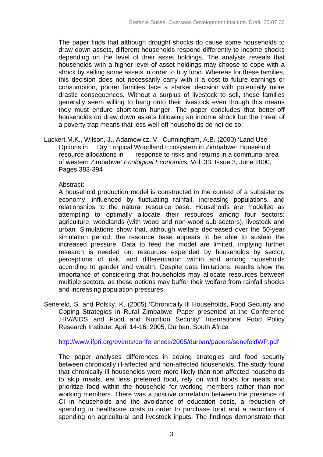The paper finds that although drought shocks do cause some households to draw down assets, different households respond differently to income shocks depending on the level of their asset holdings. The analysis reveals that households with a higher level of asset holdings may choose to cope with a shock by selling some assets in order to buy food. Whereas for these families, this decision does not necessarily carry with it a cost to future earnings or consumption, poorer families face a starker decision with potentially more drastic consequences. Without a surplus of livestock to sell, these families generally seem willing to hang onto their livestock even though this means they must endure short-term hunger. The paper concludes that better-off households do draw down assets following an income shock but the threat of a poverty trap means that less well-off households do not do so.

Luckert,M.K., Wilson, J., Adamowicz, V., Cunningham, A.B. (2000) 'Land Use Options in Dry Tropical Woodland Ecosystem in Zimbabwe: Household resource allocations in response to risks and returns in a communal area of western Zimbabwe' *Ecological Economics,* Vol. 33, Issue 3, June 2000, Pages 383-394

# Abstract:

A household production model is constructed in the context of a subsistence economy, influenced by fluctuating rainfall, increasing populations, and relationships to the natural resource base. Households are modelled as attempting to optimally allocate their resources among four sectors: agriculture, woodlands (with wood and non-wood sub-sectors), livestock and urban. Simulations show that, although welfare decreased over the 50-year simulation period, the resource base appears to be able to sustain the increased pressure. Data to feed the model are limited, implying further research is needed on: resources expended by households by sector, perceptions of risk, and differentiation within and among households according to gender and wealth. Despite data limitations, results show the importance of considering that households may allocate resources between multiple sectors, as these options may buffer their welfare from rainfall shocks and increasing population pressures.

Senefeld, S. and Polsky, K. (2005) 'Chronically Ill Households, Food Security and Coping Strategies in Rural Zimbabwe' Paper presented at the Conference 'HIV/AIDS and Food and Nutrition Security' International Food Policy Research Institute, April 14-16, 2005, Durban, South Africa

http://www.ifpri.org/events/conferences/2005/durban/papers/senefeldWP.pdf

The paper analyses differences in coping strategies and food security between chronically ill-affected and non-affected households. The study found that chronically ill households were more likely than non-affected households to skip meals, eat less preferred food, rely on wild foods for meals and prioritize food within the household for working members rather than non working members. There was a positive correlation between the presence of CI in households and the avoidance of education costs, a reduction of spending in healthcare costs in order to purchase food and a reduction of spending on agricultural and livestock inputs. The findings demonstrate that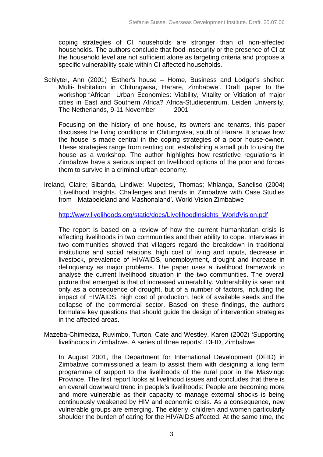coping strategies of CI households are stronger than of non-affected households. The authors conclude that food insecurity or the presence of CI at the household level are not sufficient alone as targeting criteria and propose a specific vulnerability scale within CI affected households.

Schlyter, Ann (2001) 'Esther's house – Home, Business and Lodger's shelter: Multi- habitation in Chitungwisa, Harare, Zimbabwe'. Draft paper to the workshop "African Urban Economies: Viability, Vitality or Vitiation of major cities in East and Southern Africa? Africa-Studiecentrum, Leiden University, The Netherlands, 9-11 November 2001

Focusing on the history of one house, its owners and tenants, this paper discusses the living conditions in Chitungwisa, south of Harare. It shows how the house is made central in the coping strategies of a poor house-owner. These strategies range from renting out, establishing a small pub to using the house as a workshop. The author highlights how restrictive regulations in Zimbabwe have a serious impact on livelihood options of the poor and forces them to survive in a criminal urban economy.

Ireland, Claire; Sibanda, Lindiwe; Mupetesi, Thomas; Mhlanga, Saneliso (2004) 'Livelihood Insights. Challenges and trends in Zimbabwe with Case Studies from Matabeleland and Mashonaland'*.* World Vision Zimbabwe

http://www.livelihoods.org/static/docs/LivelihoodInsights\_WorldVision.pdf

The report is based on a review of how the current humanitarian crisis is affecting livelihoods in two communities and their ability to cope. Interviews in two communities showed that villagers regard the breakdown in traditional institutions and social relations, high cost of living and inputs, decrease in livestock, prevalence of HIV/AIDS, unemployment, drought and increase in delinquency as major problems. The paper uses a livelihood framework to analyse the current livelihood situation in the two communities. The overall picture that emerged is that of increased vulnerability. Vulnerability is seen not only as a consequence of drought, but of a number of factors, including the impact of HIV/AIDS, high cost of production, lack of available seeds and the collapse of the commercial sector. Based on these findings, the authors formulate key questions that should guide the design of intervention strategies in the affected areas.

Mazeba-Chimedza, Ruvimbo, Turton, Cate and Westley, Karen (2002) 'Supporting livelihoods in Zimbabwe. A series of three reports'. DFID, Zimbabwe

In August 2001, the Department for International Development (DFID) in Zimbabwe commissioned a team to assist them with designing a long term programme of support to the livelihoods of the rural poor in the Masvingo Province. The first report looks at livelihood issues and concludes that there is an overall downward trend in people's livelihoods: People are becoming more and more vulnerable as their capacity to manage external shocks is being continuously weakened by HIV and economic crisis. As a consequence, new vulnerable groups are emerging. The elderly, children and women particularly shoulder the burden of caring for the HIV/AIDS affected. At the same time, the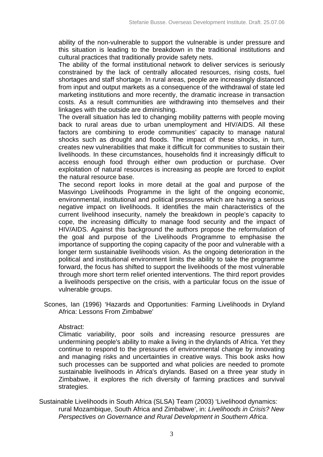ability of the non-vulnerable to support the vulnerable is under pressure and this situation is leading to the breakdown in the traditional institutions and cultural practices that traditionally provide safety nets.

The ability of the formal institutional network to deliver services is seriously constrained by the lack of centrally allocated resources, rising costs, fuel shortages and staff shortage. In rural areas, people are increasingly distanced from input and output markets as a consequence of the withdrawal of state led marketing institutions and more recently, the dramatic increase in transaction costs. As a result communities are withdrawing into themselves and their linkages with the outside are diminishing.

The overall situation has led to changing mobility patterns with people moving back to rural areas due to urban unemployment and HIV/AIDS. All these factors are combining to erode communities' capacity to manage natural shocks such as drought and floods. The impact of these shocks, in turn, creates new vulnerabilities that make it difficult for communities to sustain their livelihoods. In these circumstances, households find it increasingly difficult to access enough food through either own production or purchase. Over exploitation of natural resources is increasing as people are forced to exploit the natural resource base.

The second report looks in more detail at the goal and purpose of the Masvingo Livelihoods Programme in the light of the ongoing economic, environmental, institutional and political pressures which are having a serious negative impact on livelihoods. It identifies the main characteristics of the current livelihood insecurity, namely the breakdown in people's capacity to cope, the increasing difficulty to manage food security and the impact of HIV/AIDS. Against this background the authors propose the reformulation of the goal and purpose of the Livelihoods Programme to emphasise the importance of supporting the coping capacity of the poor and vulnerable with a longer term sustainable livelihoods vision. As the ongoing deterioration in the political and institutional environment limits the ability to take the programme forward, the focus has shifted to support the livelihoods of the most vulnerable through more short term relief oriented interventions. The third report provides a livelihoods perspective on the crisis, with a particular focus on the issue of vulnerable groups.

Scones, Ian (1996) 'Hazards and Opportunities: Farming Livelihoods in Dryland Africa: Lessons From Zimbabwe'

# Abstract:

Climatic variability, poor soils and increasing resource pressures are undermining people's ability to make a living in the drylands of Africa. Yet they continue to respond to the pressures of environmental change by innovating and managing risks and uncertainties in creative ways. This book asks how such processes can be supported and what policies are needed to promote sustainable livelihoods in Africa's drylands. Based on a three year study in Zimbabwe, it explores the rich diversity of farming practices and survival strategies.

Sustainable Livelihoods in South Africa (SLSA) Team (2003) 'Livelihood dynamics: rural Mozambique, South Africa and Zimbabwe', in: *Livelihoods in Crisis? New Perspectives on Governance and Rural Development in Southern Africa*.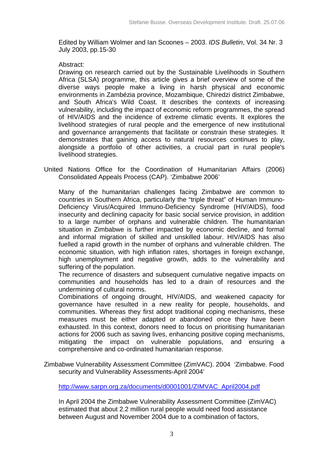Edited by William Wolmer and Ian Scoones – 2003. *IDS Bulletin*, Vol. 34 Nr. 3 July 2003, pp.15-30

# Abstract:

Drawing on research carried out by the Sustainable Livelihoods in Southern Africa (SLSA) programme, this article gives a brief overview of some of the diverse ways people make a living in harsh physical and economic environments in Zambézia province, Mozambique, Chiredzi district Zimbabwe, and South Africa's Wild Coast. It describes the contexts of increasing vulnerability, including the impact of economic reform programmes, the spread of HIV/AIDS and the incidence of extreme climatic events. It explores the livelihood strategies of rural people and the emergence of new institutional and governance arrangements that facilitate or constrain these strategies. It demonstrates that gaining access to natural resources continues to play, alongside a portfolio of other activities, a crucial part in rural people's livelihood strategies.

United Nations Office for the Coordination of Humanitarian Affairs (2006) Consolidated Appeals Process (CAP). 'Zimbabwe 2006'

Many of the humanitarian challenges facing Zimbabwe are common to countries in Southern Africa, particularly the "triple threat" of Human Immuno-Deficiency Virus/Acquired Immuno-Deficiency Syndrome (HIV/AIDS), food insecurity and declining capacity for basic social service provision, in addition to a large number of orphans and vulnerable children. The humanitarian situation in Zimbabwe is further impacted by economic decline, and formal and informal migration of skilled and unskilled labour. HIV/AIDS has also fuelled a rapid growth in the number of orphans and vulnerable children. The economic situation, with high inflation rates, shortages in foreign exchange, high unemployment and negative growth, adds to the vulnerability and suffering of the population.

The recurrence of disasters and subsequent cumulative negative impacts on communities and households has led to a drain of resources and the undermining of cultural norms.

Combinations of ongoing drought, HIV/AIDS, and weakened capacity for governance have resulted in a new reality for people, households, and communities. Whereas they first adopt traditional coping mechanisms, these measures must be either adapted or abandoned once they have been exhausted. In this context, donors need to focus on prioritising humanitarian actions for 2006 such as saving lives, enhancing positive coping mechanisms, mitigating the impact on vulnerable populations, and ensuring a comprehensive and co-ordinated humanitarian response.

Zimbabwe Vulnerability Assessment Committee (ZimVAC). 2004 'Zimbabwe. Food security and Vulnerability Assessments-April 2004'

http://www.sarpn.org.za/documents/d0001001/ZIMVAC\_April2004.pdf

In April 2004 the Zimbabwe Vulnerability Assessment Committee (ZimVAC) estimated that about 2.2 million rural people would need food assistance between August and November 2004 due to a combination of factors,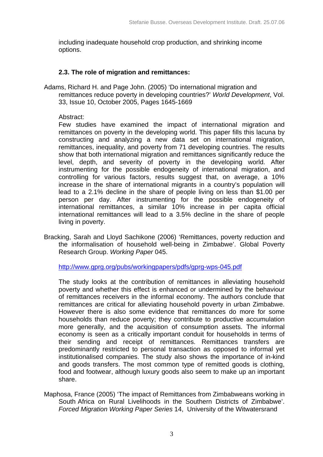including inadequate household crop production, and shrinking income options.

# **2.3. The role of migration and remittances:**

Adams, Richard H. and Page John. (2005) 'Do international migration and remittances reduce poverty in developing countries?' *World Development*, Vol. 33, Issue 10, October 2005, Pages 1645-1669

# Abstract:

Few studies have examined the impact of international migration and remittances on poverty in the developing world. This paper fills this lacuna by constructing and analyzing a new data set on international migration, remittances, inequality, and poverty from 71 developing countries. The results show that both international migration and remittances significantly reduce the level, depth, and severity of poverty in the developing world. After instrumenting for the possible endogeneity of international migration, and controlling for various factors, results suggest that, on average, a 10% increase in the share of international migrants in a country's population will lead to a 2.1% decline in the share of people living on less than \$1.00 per person per day. After instrumenting for the possible endogeneity of international remittances, a similar 10% increase in per capita official international remittances will lead to a 3.5% decline in the share of people living in poverty.

Bracking, Sarah and Lloyd Sachikone (2006) 'Remittances, poverty reduction and the informalisation of household well-being in Zimbabwe'. Global Poverty Research Group. *Working Paper* 045.

http://www.gprg.org/pubs/workingpapers/pdfs/gprg-wps-045.pdf

The study looks at the contribution of remittances in alleviating household poverty and whether this effect is enhanced or undermined by the behaviour of remittances receivers in the informal economy. The authors conclude that remittances are critical for alleviating household poverty in urban Zimbabwe. However there is also some evidence that remittances do more for some households than reduce poverty; they contribute to productive accumulation more generally, and the acquisition of consumption assets. The informal economy is seen as a critically important conduit for households in terms of their sending and receipt of remittances. Remittances transfers are predominantly restricted to personal transaction as opposed to informal yet institutionalised companies. The study also shows the importance of in-kind and goods transfers. The most common type of remitted goods is clothing, food and footwear, although luxury goods also seem to make up an important share.

Maphosa, France (2005) 'The impact of Remittances from Zimbabweans working in South Africa on Rural Livelihoods in the Southern Districts of Zimbabwe'. *Forced Migration Working Paper Series* 14, University of the Witwatersrand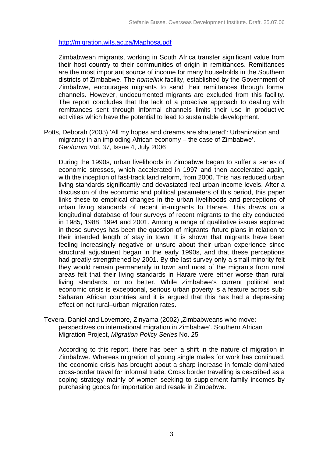# http://migration.wits.ac.za/Maphosa.pdf

Zimbabwean migrants, working in South Africa transfer significant value from their host country to their communities of origin in remittances. Remittances are the most important source of income for many households in the Southern districts of Zimbabwe. The *homelink* facility, established by the Government of Zimbabwe, encourages migrants to send their remittances through formal channels. However, undocumented migrants are excluded from this facility. The report concludes that the lack of a proactive approach to dealing with remittances sent through informal channels limits their use in productive activities which have the potential to lead to sustainable development.

Potts, Deborah (2005) 'All my hopes and dreams are shattered': Urbanization and migrancy in an imploding African economy – the case of Zimbabwe'. *Geoforum* Vol. 37, Issue 4, July 2006

During the 1990s, urban livelihoods in Zimbabwe began to suffer a series of economic stresses, which accelerated in 1997 and then accelerated again, with the inception of fast-track land reform, from 2000. This has reduced urban living standards significantly and devastated real urban income levels. After a discussion of the economic and political parameters of this period, this paper links these to empirical changes in the urban livelihoods and perceptions of urban living standards of recent in-migrants to Harare. This draws on a longitudinal database of four surveys of recent migrants to the city conducted in 1985, 1988, 1994 and 2001. Among a range of qualitative issues explored in these surveys has been the question of migrants' future plans in relation to their intended length of stay in town. It is shown that migrants have been feeling increasingly negative or unsure about their urban experience since structural adjustment began in the early 1990s, and that these perceptions had greatly strengthened by 2001. By the last survey only a small minority felt they would remain permanently in town and most of the migrants from rural areas felt that their living standards in Harare were either worse than rural living standards, or no better. While Zimbabwe's current political and economic crisis is exceptional, serious urban poverty is a feature across sub-Saharan African countries and it is argued that this has had a depressing effect on net rural–urban migration rates.

Tevera, Daniel and Lovemore, Zinyama (2002) , Zimbabweans who move: perspectives on international migration in Zimbabwe'. Southern African Migration Project, *Migration Policy Series* No. 25

According to this report, there has been a shift in the nature of migration in Zimbabwe. Whereas migration of young single males for work has continued, the economic crisis has brought about a sharp increase in female dominated cross-border travel for informal trade. Cross border travelling is described as a coping strategy mainly of women seeking to supplement family incomes by purchasing goods for importation and resale in Zimbabwe.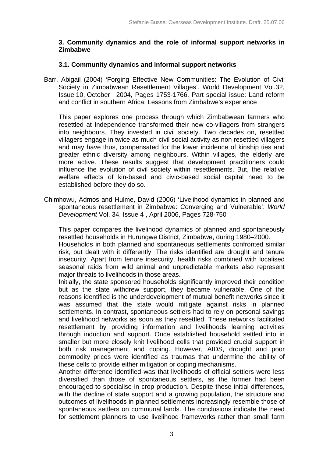# **3. Community dynamics and the role of informal support networks in Zimbabwe**

## **3.1. Community dynamics and informal support networks**

Barr, Abigail (2004) 'Forging Effective New Communities: The Evolution of Civil Society in Zimbabwean Resettlement Villages'. World Development Vol.32, Issue 10, October 2004, Pages 1753-1766. Part special issue: Land reform and conflict in southern Africa: Lessons from Zimbabwe's experience

This paper explores one process through which Zimbabwean farmers who resettled at Independence transformed their new co-villagers from strangers into neighbours. They invested in civil society. Two decades on, resettled villagers engage in twice as much civil social activity as non resettled villagers and may have thus, compensated for the lower incidence of kinship ties and greater ethnic diversity among neighbours. Within villages, the elderly are more active. These results suggest that development practitioners could influence the evolution of civil society within resettlements. But, the relative welfare effects of kin-based and civic-based social capital need to be established before they do so.

Chimhowu, Admos and Hulme, David (2006) 'Livelihood dynamics in planned and spontaneous resettlement in Zimbabwe: Converging and Vulnerable'. *World Development* Vol. 34, Issue 4 , April 2006, Pages 728-750

This paper compares the livelihood dynamics of planned and spontaneously resettled households in Hurungwe District, Zimbabwe, during 1980–2000.

Households in both planned and spontaneous settlements confronted similar risk, but dealt with it differently. The risks identified are drought and tenure insecurity. Apart from tenure insecurity, health risks combined with localised seasonal raids from wild animal and unpredictable markets also represent major threats to livelihoods in those areas.

Initially, the state sponsored households significantly improved their condition but as the state withdrew support, they became vulnerable. One of the reasons identified is the underdevelopment of mutual benefit networks since it was assumed that the state would mitigate against risks in planned settlements. In contrast, spontaneous settlers had to rely on personal savings and livelihood networks as soon as they resettled. These networks facilitated resettlement by providing information and livelihoods learning activities through induction and support. Once established household settled into in smaller but more closely knit livelihood cells that provided crucial support in both risk management and coping. However, AIDS, drought and poor commodity prices were identified as traumas that undermine the ability of these cells to provide either mitigation or coping mechanisms.

Another difference identified was that livelihoods of official settlers were less diversified than those of spontaneous settlers, as the former had been encouraged to specialise in crop production. Despite these initial differences, with the decline of state support and a growing population, the structure and outcomes of livelihoods in planned settlements increasingly resemble those of spontaneous settlers on communal lands. The conclusions indicate the need for settlement planners to use livelihood frameworks rather than small farm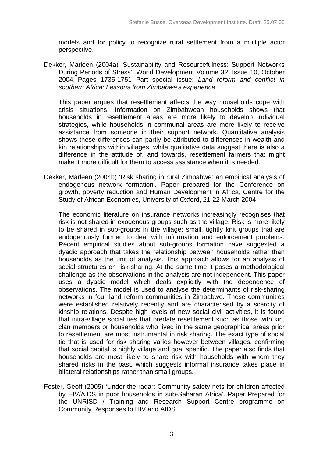models and for policy to recognize rural settlement from a multiple actor perspective.

Dekker, Marleen (2004a) 'Sustainability and Resourcefulness: Support Networks During Periods of Stress'. World Development Volume 32, Issue 10, October 2004, Pages 1735-1751 Part special issue: *Land reform and conflict in southern Africa: Lessons from Zimbabwe's experience* 

This paper argues that resettlement affects the way households cope with crisis situations. Information on Zimbabwean households shows that households in resettlement areas are more likely to develop individual strategies, while households in communal areas are more likely to receive assistance from someone in their support network. Quantitative analysis shows these differences can partly be attributed to differences in wealth and kin relationships within villages, while qualitative data suggest there is also a difference in the attitude of, and towards, resettlement farmers that might make it more difficult for them to access assistance when it is needed.

Dekker, Marleen (2004b) 'Risk sharing in rural Zimbabwe: an empirical analysis of endogenous network formation'. Paper prepared for the Conference on growth, poverty reduction and Human Development in Africa, Centre for the Study of African Economies, University of Oxford, 21-22 March 2004

The economic literature on insurance networks increasingly recognises that risk is not shared in exogenous groups such as the village. Risk is more likely to be shared in sub-groups in the village: small, tightly knit groups that are endogenously formed to deal with information and enforcement problems. Recent empirical studies about sub-groups formation have suggested a dyadic approach that takes the relationship between households rather than households as the unit of analysis. This approach allows for an analysis of social structures on risk-sharing. At the same time it poses a methodological challenge as the observations in the analysis are not independent. This paper uses a dyadic model which deals explicitly with the dependence of observations. The model is used to analyse the determinants of risk-sharing networks in four land reform communities in Zimbabwe. These communities were established relatively recently and are characterised by a scarcity of kinship relations. Despite high levels of new social civil activities, it is found that intra-village social ties that predate resettlement such as those with kin, clan members or households who lived in the same geographical areas prior to resettlement are most instrumental in risk sharing. The exact type of social tie that is used for risk sharing varies however between villages, confirming that social capital is highly village and goal specific. The paper also finds that households are most likely to share risk with households with whom they shared risks in the past, which suggests informal insurance takes place in bilateral relationships rather than small groups.

Foster, Geoff (2005) 'Under the radar: Community safety nets for children affected by HIV/AIDS in poor households in sub-Saharan Africa'. Paper Prepared for the UNRISD / Training and Research Support Centre programme on Community Responses to HIV and AIDS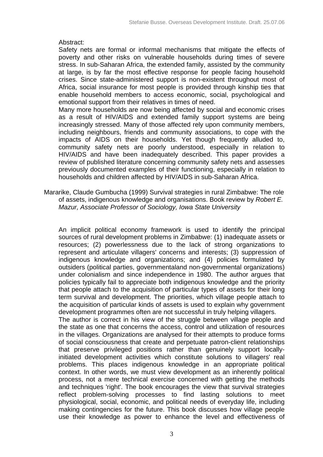#### Abstract:

Safety nets are formal or informal mechanisms that mitigate the effects of poverty and other risks on vulnerable households during times of severe stress. In sub-Saharan Africa, the extended family, assisted by the community at large, is by far the most effective response for people facing household crises. Since state-administered support is non-existent throughout most of Africa, social insurance for most people is provided through kinship ties that enable household members to access economic, social, psychological and emotional support from their relatives in times of need.

Many more households are now being affected by social and economic crises as a result of HIV/AIDS and extended family support systems are being increasingly stressed. Many of those affected rely upon community members, including neighbours, friends and community associations, to cope with the impacts of AIDS on their households. Yet though frequently alluded to, community safety nets are poorly understood, especially in relation to HIV/AIDS and have been inadequately described. This paper provides a review of published literature concerning community safety nets and assesses previously documented examples of their functioning, especially in relation to households and children affected by HIV/AIDS in sub-Saharan Africa.

Mararike, Claude Gumbucha (1999) Survival strategies in rural Zimbabwe: The role of assets, indigenous knowledge and organisations. Book review by *Robert E. Mazur, Associate Professor of Sociology, Iowa State University*

An implicit political economy framework is used to identify the principal sources of rural development problems in Zimbabwe: (1) inadequate assets or resources; (2) powerlessness due to the lack of strong organizations to represent and articulate villagers' concerns and interests; (3) suppression of indigenous knowledge and organizations; and (4) policies formulated by outsiders (political parties, governmentaland non-governmental organizations) under colonialism and since independence in 1980. The author argues that policies typically fail to appreciate both indigenous knowledge and the priority that people attach to the acquisition of particular types of assets for their long term survival and development. The priorities, which village people attach to the acquisition of particular kinds of assets is used to explain why government development programmes often are not successful in truly helping villagers.

The author is correct in his view of the struggle between village people and the state as one that concerns the access, control and utilization of resources in the villages. Organizations are analysed for their attempts to produce forms of social consciousness that create and perpetuate patron-client relationships that preserve privileged positions rather than genuinely support locallyinitiated development activities which constitute solutions to villagers' real problems. This places indigenous knowledge in an appropriate political context. In other words, we must view development as an inherently political process, not a mere technical exercise concerned with getting the methods and techniques 'right'. The book encourages the view that survival strategies reflect problem-solving processes to find lasting solutions to meet physiological, social, economic, and political needs of everyday life, including making contingencies for the future. This book discusses how village people use their knowledge as power to enhance the level and effectiveness of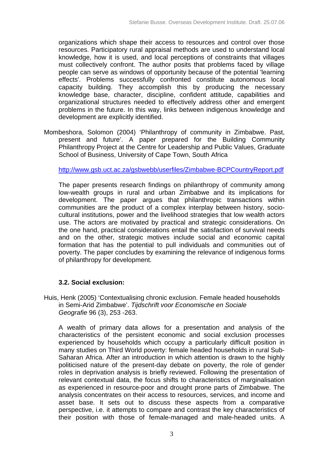organizations which shape their access to resources and control over those resources. Participatory rural appraisal methods are used to understand local knowledge, how it is used, and local perceptions of constraints that villages must collectively confront. The author posits that problems faced by village people can serve as windows of opportunity because of the potential 'learning effects'. Problems successfully confronted constitute autonomous local capacity building. They accomplish this by producing the necessary knowledge base, character, discipline, confident attitude, capabilities and organizational structures needed to effectively address other and emergent problems in the future. In this way, links between indigenous knowledge and development are explicitly identified.

Mombeshora, Solomon (2004) 'Philanthropy of community in Zimbabwe. Past, present and future'. A paper prepared for the Building Community Philanthropy Project at the Centre for Leadership and Public Values, Graduate School of Business, University of Cape Town, South Africa

http://www.gsb.uct.ac.za/gsbwebb/userfiles/Zimbabwe-BCPCountryReport.pdf

The paper presents research findings on philanthropy of community among low-wealth groups in rural and urban Zimbabwe and its implications for development. The paper argues that philanthropic transactions within communities are the product of a complex interplay between history, sociocultural institutions, power and the livelihood strategies that low wealth actors use. The actors are motivated by practical and strategic considerations. On the one hand, practical considerations entail the satisfaction of survival needs and on the other, strategic motives include social and economic capital formation that has the potential to pull individuals and communities out of poverty. The paper concludes by examining the relevance of indigenous forms of philanthropy for development.

# **3.2. Social exclusion:**

Huis, Henk (2005) 'Contextualising chronic exclusion. Female headed households in Semi-Arid Zimbabwe'. *Tijdschrift voor Economische en Sociale Geografie* 96 (3), 253 -263.

A wealth of primary data allows for a presentation and analysis of the characteristics of the persistent economic and social exclusion processes experienced by households which occupy a particularly difficult position in many studies on Third World poverty: female headed households in rural Sub-Saharan Africa. After an introduction in which attention is drawn to the highly politicised nature of the present-day debate on poverty, the role of gender roles in deprivation analysis is briefly reviewed. Following the presentation of relevant contextual data, the focus shifts to characteristics of marginalisation as experienced in resource-poor and drought prone parts of Zimbabwe. The analysis concentrates on their access to resources, services, and income and asset base. It sets out to discuss these aspects from a comparative perspective, i.e. it attempts to compare and contrast the key characteristics of their position with those of female-managed and male-headed units. A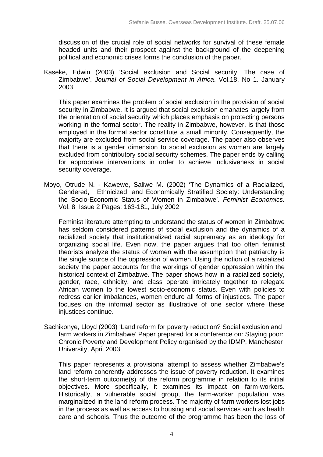discussion of the crucial role of social networks for survival of these female headed units and their prospect against the background of the deepening political and economic crises forms the conclusion of the paper.

Kaseke, Edwin (2003) 'Social exclusion and Social security: The case of Zimbabwe'. *Journal of Social Development in Africa*. Vol.18, No 1. January 2003

This paper examines the problem of social exclusion in the provision of social security in Zimbabwe. It is argued that social exclusion emanates largely from the orientation of social security which places emphasis on protecting persons working in the formal sector. The reality in Zimbabwe, however, is that those employed in the formal sector constitute a small minority. Consequently, the majority are excluded from social service coverage. The paper also observes that there is a gender dimension to social exclusion as women are largely excluded from contributory social security schemes. The paper ends by calling for appropriate interventions in order to achieve inclusiveness in social security coverage.

Moyo, Otrude N. - Kawewe, Saliwe M. (2002) 'The Dynamics of a Racialized, Gendered, Ethnicized, and Economically Stratified Society: Understanding the Socio-Economic Status of Women in Zimbabwe'. *Feminist Economics.* Vol. 8 Issue 2 Pages: 163-181, July 2002

Feminist literature attempting to understand the status of women in Zimbabwe has seldom considered patterns of social exclusion and the dynamics of a racialized society that institutionalized racial supremacy as an ideology for organizing social life. Even now, the paper argues that too often feminist theorists analyze the status of women with the assumption that patriarchy is the single source of the oppression of women. Using the notion of a racialized society the paper accounts for the workings of gender oppression within the historical context of Zimbabwe. The paper shows how in a racialized society, gender, race, ethnicity, and class operate intricately together to relegate African women to the lowest socio-economic status. Even with policies to redress earlier imbalances, women endure all forms of injustices. The paper focuses on the informal sector as illustrative of one sector where these iniustices continue.

Sachikonye, Lloyd (2003) 'Land reform for poverty reduction? Social exclusion and farm workers in Zimbabwe' Paper prepared for a conference on: Staying poor: Chronic Poverty and Development Policy organised by the IDMP, Manchester University, April 2003

This paper represents a provisional attempt to assess whether Zimbabwe's land reform coherently addresses the issue of poverty reduction. It examines the short-term outcome(s) of the reform programme in relation to its initial objectives. More specifically, it examines its impact on farm-workers. Historically, a vulnerable social group, the farm-worker population was marginalized in the land reform process. The majority of farm workers lost jobs in the process as well as access to housing and social services such as health care and schools. Thus the outcome of the programme has been the loss of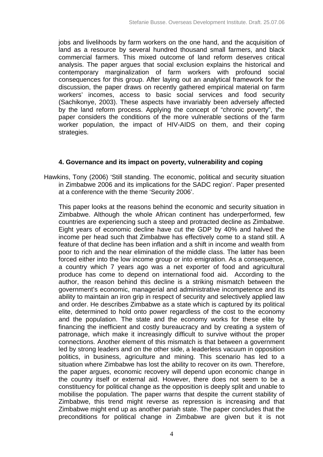jobs and livelihoods by farm workers on the one hand, and the acquisition of land as a resource by several hundred thousand small farmers, and black commercial farmers. This mixed outcome of land reform deserves critical analysis. The paper argues that social exclusion explains the historical and contemporary marginalization of farm workers with profound social consequences for this group. After laying out an analytical framework for the discussion, the paper draws on recently gathered empirical material on farm workers' incomes, access to basic social services and food security (Sachikonye, 2003). These aspects have invariably been adversely affected by the land reform process. Applying the concept of "chronic poverty", the paper considers the conditions of the more vulnerable sections of the farm worker population, the impact of HIV-AIDS on them, and their coping strategies.

#### **4. Governance and its impact on poverty, vulnerability and coping**

Hawkins, Tony (2006) 'Still standing. The economic, political and security situation in Zimbabwe 2006 and its implications for the SADC region'. Paper presented at a conference with the theme 'Security 2006'.

This paper looks at the reasons behind the economic and security situation in Zimbabwe. Although the whole African continent has underperformed, few countries are experiencing such a steep and protracted decline as Zimbabwe. Eight years of economic decline have cut the GDP by 40% and halved the income per head such that Zimbabwe has effectively come to a stand still. A feature of that decline has been inflation and a shift in income and wealth from poor to rich and the near elimination of the middle class. The latter has been forced either into the low income group or into emigration. As a consequence, a country which 7 years ago was a net exporter of food and agricultural produce has come to depend on international food aid. According to the author, the reason behind this decline is a striking mismatch between the government's economic, managerial and administrative incompetence and its ability to maintain an iron grip in respect of security and selectively applied law and order. He describes Zimbabwe as a state which is captured by its political elite, determined to hold onto power regardless of the cost to the economy and the population. The state and the economy works for these elite by financing the inefficient and costly bureaucracy and by creating a system of patronage, which make it increasingly difficult to survive without the proper connections. Another element of this mismatch is that between a government led by strong leaders and on the other side, a leaderless vacuum in opposition politics, in business, agriculture and mining. This scenario has led to a situation where Zimbabwe has lost the ability to recover on its own. Therefore, the paper argues, economic recovery will depend upon economic change in the country itself or external aid. However, there does not seem to be a constituency for political change as the opposition is deeply split and unable to mobilise the population. The paper warns that despite the current stability of Zimbabwe, this trend might reverse as repression is increasing and that Zimbabwe might end up as another pariah state. The paper concludes that the preconditions for political change in Zimbabwe are given but it is not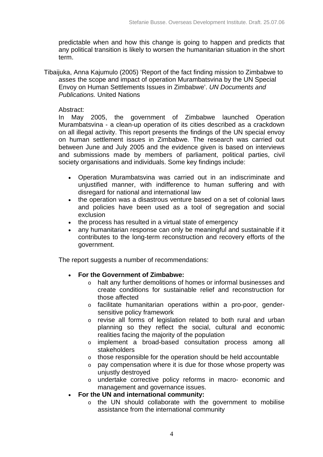predictable when and how this change is going to happen and predicts that any political transition is likely to worsen the humanitarian situation in the short term.

Tibaijuka, Anna Kajumulo (2005) 'Report of the fact finding mission to Zimbabwe to asses the scope and impact of operation Murambatsvina by the UN Special Envoy on Human Settlements Issues in Zimbabwe'. *UN Documents and Publications.* United Nations

# Abstract:

In May 2005, the government of Zimbabwe launched Operation Murambatsvina - a clean-up operation of its cities described as a crackdown on all illegal activity. This report presents the findings of the UN special envoy on human settlement issues in Zimbabwe. The research was carried out between June and July 2005 and the evidence given is based on interviews and submissions made by members of parliament, political parties, civil society organisations and individuals. Some key findings include:

- Operation Murambatsvina was carried out in an indiscriminate and unjustified manner, with indifference to human suffering and with disregard for national and international law
- the operation was a disastrous venture based on a set of colonial laws and policies have been used as a tool of segregation and social exclusion
- the process has resulted in a virtual state of emergency
- any humanitarian response can only be meaningful and sustainable if it contributes to the long-term reconstruction and recovery efforts of the government.

The report suggests a number of recommendations:

# • **For the Government of Zimbabwe:**

- o halt any further demolitions of homes or informal businesses and create conditions for sustainable relief and reconstruction for those affected
- o facilitate humanitarian operations within a pro-poor, gendersensitive policy framework
- o revise all forms of legislation related to both rural and urban planning so they reflect the social, cultural and economic realities facing the majority of the population
- o implement a broad-based consultation process among all stakeholders
- o those responsible for the operation should be held accountable
- o pay compensation where it is due for those whose property was unjustly destroyed
- o undertake corrective policy reforms in macro- economic and management and governance issues.
- **For the UN and international community:**
	- o the UN should collaborate with the government to mobilise assistance from the international community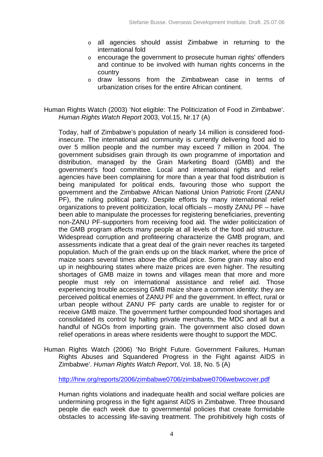- o all agencies should assist Zimbabwe in returning to the international fold
- o encourage the government to prosecute human rights' offenders and continue to be involved with human rights concerns in the country
- o draw lessons from the Zimbabwean case in terms of urbanization crises for the entire African continent.

Human Rights Watch (2003) 'Not eligible: The Politicization of Food in Zimbabwe'. *Human Rights Watch Report* 2003, Vol.15, Nr.17 (A)

Today, half of Zimbabwe's population of nearly 14 million is considered foodinsecure. The international aid community is currently delivering food aid to over 5 million people and the number may exceed 7 million in 2004. The government subsidises grain through its own programme of importation and distribution, managed by the Grain Marketing Board (GMB) and the government's food committee. Local and international rights and relief agencies have been complaining for more than a year that food distribution is being manipulated for political ends, favouring those who support the government and the Zimbabwe African National Union Patriotic Front (ZANU PF), the ruling political party. Despite efforts by many international relief organizations to prevent politicization, local officials – mostly ZANU PF – have been able to manipulate the processes for registering beneficiaries, preventing non-ZANU PF-supporters from receiving food aid. The wider politicization of the GMB program affects many people at all levels of the food aid structure. Widespread corruption and profiteering characterize the GMB program, and assessments indicate that a great deal of the grain never reaches its targeted population. Much of the grain ends up on the black market, where the price of maize soars several times above the official price. Some grain may also end up in neighbouring states where maize prices are even higher. The resulting shortages of GMB maize in towns and villages mean that more and more people must rely on international assistance and relief aid. Those experiencing trouble accessing GMB maize share a common identity: they are perceived political enemies of ZANU PF and the government. In effect, rural or urban people without ZANU PF party cards are unable to register for or receive GMB maize. The government further compounded food shortages and consolidated its control by halting private merchants, the MDC and all but a handful of NGOs from importing grain. The government also closed down relief operations in areas where residents were thought to support the MDC.

Human Rights Watch (2006) 'No Bright Future. Government Failures, Human Rights Abuses and Squandered Progress in the Fight against AIDS in Zimbabwe'. *Human Rights Watch Report*, Vol. 18, No. 5 (A)

http://hrw.org/reports/2006/zimbabwe0706/zimbabwe0706webwcover.pdf

Human rights violations and inadequate health and social welfare policies are undermining progress in the fight against AIDS in Zimbabwe. Three thousand people die each week due to governmental policies that create formidable obstacles to accessing life-saving treatment. The prohibitively high costs of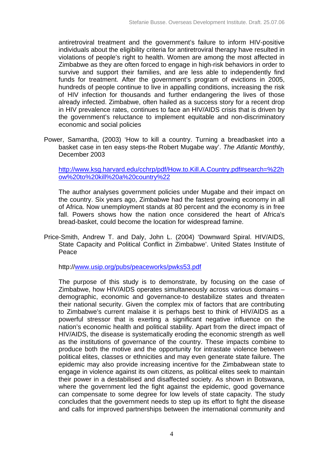antiretroviral treatment and the government's failure to inform HIV-positive individuals about the eligibility criteria for antiretroviral therapy have resulted in violations of people's right to health. Women are among the most affected in Zimbabwe as they are often forced to engage in high-risk behaviors in order to survive and support their families, and are less able to independently find funds for treatment. After the government's program of evictions in 2005, hundreds of people continue to live in appalling conditions, increasing the risk of HIV infection for thousands and further endangering the lives of those already infected. Zimbabwe, often hailed as a success story for a recent drop in HIV prevalence rates, continues to face an HIV/AIDS crisis that is driven by the government's reluctance to implement equitable and non-discriminatory economic and social policies

Power, Samantha, (2003) 'How to kill a country. Turning a breadbasket into a basket case in ten easy steps-the Robert Mugabe way'. *The Atlantic Monthly*, December 2003

http://www.ksg.harvard.edu/cchrp/pdf/How.to.Kill.A.Country.pdf#search=%22h ow%20to%20kill%20a%20country%22

The author analyses government policies under Mugabe and their impact on the country. Six years ago, Zimbabwe had the fastest growing economy in all of Africa. Now unemployment stands at 80 percent and the economy is in free fall. Powers shows how the nation once considered the heart of Africa's bread-basket, could become the location for widespread famine.

Price-Smith, Andrew T. and Daly, John L. (2004) 'Downward Spiral. HIV/AIDS, State Capacity and Political Conflict in Zimbabwe'. United States Institute of Peace

http://www.usip.org/pubs/peaceworks/pwks53.pdf

The purpose of this study is to demonstrate, by focusing on the case of Zimbabwe, how HIV/AIDS operates simultaneously across various domains – demographic, economic and governance-to destabilize states and threaten their national security. Given the complex mix of factors that are contributing to Zimbabwe's current malaise it is perhaps best to think of HIV/AIDS as a powerful stressor that is exerting a significant negative influence on the nation's economic health and political stability. Apart from the direct impact of HIV/AIDS, the disease is systematically eroding the economic strength as well as the institutions of governance of the country. These impacts combine to produce both the motive and the opportunity for intrastate violence between political elites, classes or ethnicities and may even generate state failure. The epidemic may also provide increasing incentive for the Zimbabwean state to engage in violence against its own citizens, as political elites seek to maintain their power in a destabilised and disaffected society. As shown in Botswana, where the government led the fight against the epidemic, good governance can compensate to some degree for low levels of state capacity. The study concludes that the government needs to step up its effort to fight the disease and calls for improved partnerships between the international community and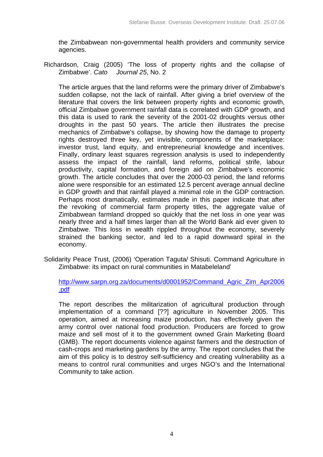the Zimbabwean non-governmental health providers and community service agencies.

Richardson, Craig (2005) 'The loss of property rights and the collapse of Zimbabwe'. *Cato Journal 25*, No. 2

The article argues that the land reforms were the primary driver of Zimbabwe's sudden collapse, not the lack of rainfall. After giving a brief overview of the literature that covers the link between property rights and economic growth, official Zimbabwe government rainfall data is correlated with GDP growth, and this data is used to rank the severity of the 2001-02 droughts versus other droughts in the past 50 years. The article then illustrates the precise mechanics of Zimbabwe's collapse, by showing how the damage to property rights destroyed three key, yet invisible, components of the marketplace: investor trust, land equity, and entrepreneurial knowledge and incentives. Finally, ordinary least squares regression analysis is used to independently assess the impact of the rainfall, land reforms, political strife, labour productivity, capital formation, and foreign aid on Zimbabwe's economic growth. The article concludes that over the 2000-03 period, the land reforms alone were responsible for an estimated 12.5 percent average annual decline in GDP growth and that rainfall played a minimal role in the GDP contraction. Perhaps most dramatically, estimates made in this paper indicate that after the revoking of commercial farm property titles, the aggregate value of Zimbabwean farmland dropped so quickly that the net loss in one year was nearly three and a half times larger than all the World Bank aid ever given to Zimbabwe. This loss in wealth rippled throughout the economy, severely strained the banking sector, and led to a rapid downward spiral in the economy.

Solidarity Peace Trust, (2006) 'Operation Taguta/ Shisuti. Command Agriculture in Zimbabwe: its impact on rural communities in Matabeleland'

http://www.sarpn.org.za/documents/d0001952/Command\_Agric\_Zim\_Apr2006 .pdf

The report describes the militarization of agricultural production through implementation of a command [??] agriculture in November 2005. This operation, aimed at increasing maize production, has effectively given the army control over national food production. Producers are forced to grow maize and sell most of it to the government owned Grain Marketing Board (GMB). The report documents violence against farmers and the destruction of cash-crops and marketing gardens by the army. The report concludes that the aim of this policy is to destroy self-sufficiency and creating vulnerability as a means to control rural communities and urges NGO's and the International Community to take action.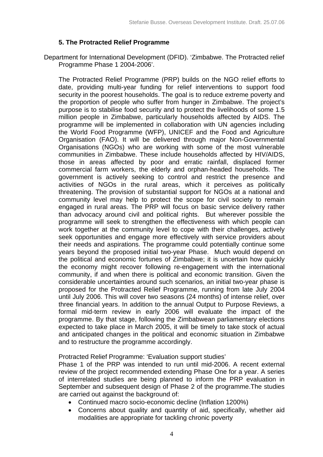# **5. The Protracted Relief Programme**

Department for International Development (DFID). 'Zimbabwe. The Protracted relief Programme Phase 1 2004-2006'.

The Protracted Relief Programme (PRP) builds on the NGO relief efforts to date, providing multi-year funding for relief interventions to support food security in the poorest households. The goal is to reduce extreme poverty and the proportion of people who suffer from hunger in Zimbabwe. The project's purpose is to stabilise food security and to protect the livelihoods of some 1.5 million people in Zimbabwe, particularly households affected by AIDS. The programme will be implemented in collaboration with UN agencies including the World Food Programme (WFP), UNICEF and the Food and Agriculture Organisation (FAO). It will be delivered through major Non-Governmental Organisations (NGOs) who are working with some of the most vulnerable communities in Zimbabwe. These include households affected by HIV/AIDS, those in areas affected by poor and erratic rainfall, displaced former commercial farm workers, the elderly and orphan-headed households. The government is actively seeking to control and restrict the presence and activities of NGOs in the rural areas, which it perceives as politically threatening. The provision of substantial support for NGOs at a national and community level may help to protect the scope for civil society to remain engaged in rural areas. The PRP will focus on basic service delivery rather than advocacy around civil and political rights. But wherever possible the programme will seek to strengthen the effectiveness with which people can work together at the community level to cope with their challenges, actively seek opportunities and engage more effectively with service providers about their needs and aspirations. The programme could potentially continue some years beyond the proposed initial two-year Phase. Much would depend on the political and economic fortunes of Zimbabwe; it is uncertain how quickly the economy might recover following re-engagement with the international community, if and when there is political and economic transition. Given the considerable uncertainties around such scenarios, an initial two-year phase is proposed for the Protracted Relief Programme, running from late July 2004 until July 2006. This will cover two seasons (24 months) of intense relief, over three financial years. In addition to the annual Output to Purpose Reviews, a formal mid-term review in early 2006 will evaluate the impact of the programme. By that stage, following the Zimbabwean parliamentary elections expected to take place in March 2005, it will be timely to take stock of actual and anticipated changes in the political and economic situation in Zimbabwe and to restructure the programme accordingly.

Protracted Relief Programme: 'Evaluation support studies'

Phase 1 of the PRP was intended to run until mid-2006. A recent external review of the project recommended extending Phase One for a year. A series of interrelated studies are being planned to inform the PRP evaluation in September and subsequent design of Phase 2 of the programme.The studies are carried out against the background of:

- Continued macro socio-economic decline (Inflation 1200%)
- Concerns about quality and quantity of aid, specifically, whether aid modalities are appropriate for tackling chronic poverty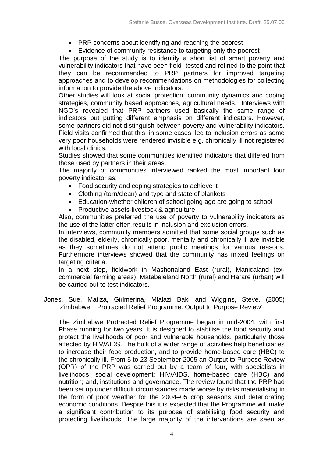- PRP concerns about identifying and reaching the poorest
- Evidence of community resistance to targeting only the poorest

The purpose of the study is to identify a short list of smart poverty and vulnerability indicators that have been field- tested and refined to the point that they can be recommended to PRP partners for improved targeting approaches and to develop recommendations on methodologies for collecting information to provide the above indicators.

Other studies will look at social protection, community dynamics and coping strategies, community based approaches, agricultural needs. Interviews with NGO's revealed that PRP partners used basically the same range of indicators but putting different emphasis on different indicators. However, some partners did not distinguish between poverty and vulnerability indicators. Field visits confirmed that this, in some cases, led to inclusion errors as some very poor households were rendered invisible e.g. chronically ill not registered with local clinics.

Studies showed that some communities identified indicators that differed from those used by partners in their areas.

The majority of communities interviewed ranked the most important four poverty indicator as:

- Food security and coping strategies to achieve it
- Clothing (torn/clean) and type and state of blankets
- Education-whether children of school going age are going to school
- Productive assets-livestock & agriculture

Also, communities preferred the use of poverty to vulnerability indicators as the use of the latter often results in inclusion and exclusion errors.

In interviews, community members admitted that some social groups such as the disabled, elderly, chronically poor, mentally and chronically ill are invisible as they sometimes do not attend public meetings for various reasons. Furthermore interviews showed that the community has mixed feelings on targeting criteria.

In a next step, fieldwork in Mashonaland East (rural), Manicaland (excommercial farming areas), Matebeleland North (rural) and Harare (urban) will be carried out to test indicators.

Jones, Sue, Matiza, Girlmerina, Mlalazi Baki and Wiggins, Steve. (2005) 'Zimbabwe Protracted Relief Programme. Output to Purpose Review'

The Zimbabwe Protracted Relief Programme began in mid-2004, with first Phase running for two years. It is designed to stabilise the food security and protect the livelihoods of poor and vulnerable households, particularly those affected by HIV/AIDS. The bulk of a wider range of activities help beneficiaries to increase their food production, and to provide home-based care (HBC) to the chronically ill. From 5 to 23 September 2005 an Output to Purpose Review (OPR) of the PRP was carried out by a team of four, with specialists in livelihoods; social development; HIV/AIDS, home-based care (HBC) and nutrition; and, institutions and governance. The review found that the PRP had been set up under difficult circumstances made worse by risks materialising in the form of poor weather for the 2004–05 crop seasons and deteriorating economic conditions. Despite this it is expected that the Programme will make a significant contribution to its purpose of stabilising food security and protecting livelihoods. The large majority of the interventions are seen as